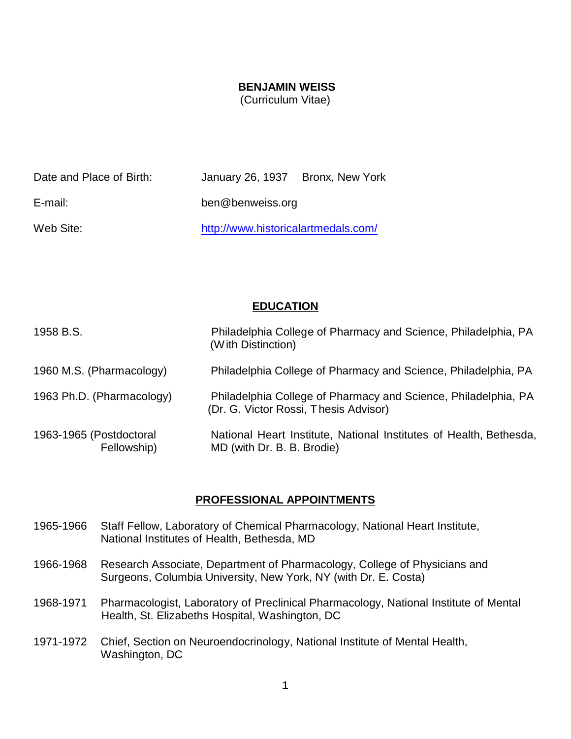#### **BENJAMIN WEISS**

(Curriculum Vitae)

| Date and Place of Birth: | January 26, 1937 Bronx, New York    |  |
|--------------------------|-------------------------------------|--|
| E-mail:                  | ben@benweiss.org                    |  |
| Web Site:                | http://www.historicalartmedals.com/ |  |

#### **EDUCATION**

| 1958 B.S.                              | Philadelphia College of Pharmacy and Science, Philadelphia, PA<br>(With Distinction)                    |
|----------------------------------------|---------------------------------------------------------------------------------------------------------|
| 1960 M.S. (Pharmacology)               | Philadelphia College of Pharmacy and Science, Philadelphia, PA                                          |
| 1963 Ph.D. (Pharmacology)              | Philadelphia College of Pharmacy and Science, Philadelphia, PA<br>(Dr. G. Victor Rossi, Thesis Advisor) |
| 1963-1965 (Postdoctoral<br>Fellowship) | National Heart Institute, National Institutes of Health, Bethesda,<br>MD (with Dr. B. B. Brodie)        |

#### **PROFESSIONAL APPOINTMENTS**

- 1965-1966 Staff Fellow, Laboratory of Chemical Pharmacology, National Heart Institute, National Institutes of Health, Bethesda, MD
- 1966-1968 Research Associate, Department of Pharmacology, College of Physicians and Surgeons, Columbia University, New York, NY (with Dr. E. Costa)
- 1968-1971 Pharmacologist, Laboratory of Preclinical Pharmacology, National Institute of Mental Health, St. Elizabeths Hospital, Washington, DC
- 1971-1972 Chief, Section on Neuroendocrinology, National Institute of Mental Health, Washington, DC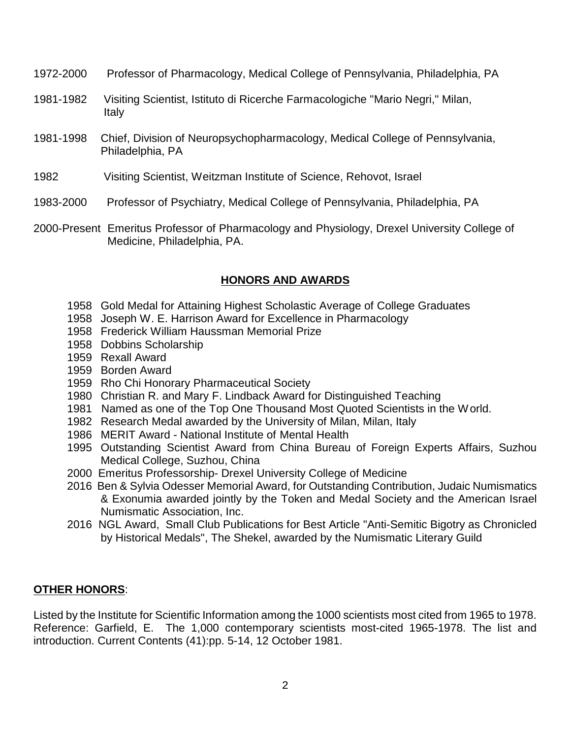- 1972-2000 Professor of Pharmacology, Medical College of Pennsylvania, Philadelphia, PA
- 1981-1982 Visiting Scientist, Istituto di Ricerche Farmacologiche "Mario Negri," Milan, Italy
- 1981-1998 Chief, Division of Neuropsychopharmacology, Medical College of Pennsylvania, Philadelphia, PA
- 1982 Visiting Scientist, Weitzman Institute of Science, Rehovot, Israel
- 1983-2000 Professor of Psychiatry, Medical College of Pennsylvania, Philadelphia, PA
- 2000-Present Emeritus Professor of Pharmacology and Physiology, Drexel University College of Medicine, Philadelphia, PA.

#### **HONORS AND AWARDS**

- 1958 Gold Medal for Attaining Highest Scholastic Average of College Graduates
- 1958 Joseph W. E. Harrison Award for Excellence in Pharmacology
- 1958 Frederick William Haussman Memorial Prize
- 1958 Dobbins Scholarship
- 1959 Rexall Award
- 1959 Borden Award
- 1959 Rho Chi Honorary Pharmaceutical Society
- 1980 Christian R. and Mary F. Lindback Award for Distinguished Teaching
- 1981 Named as one of the Top One Thousand Most Quoted Scientists in the World.
- 1982 Research Medal awarded by the University of Milan, Milan, Italy
- 1986 MERIT Award National Institute of Mental Health
- 1995 Outstanding Scientist Award from China Bureau of Foreign Experts Affairs, Suzhou Medical College, Suzhou, China
- 2000 Emeritus Professorship- Drexel University College of Medicine
- 2016 Ben & Sylvia Odesser Memorial Award, for Outstanding Contribution, Judaic Numismatics & Exonumia awarded jointly by the Token and Medal Society and the American Israel Numismatic Association, Inc.
- 2016 NGL Award, Small Club Publications for Best Article "Anti-Semitic Bigotry as Chronicled by Historical Medals", The Shekel, awarded by the Numismatic Literary Guild

#### **OTHER HONORS**:

Listed by the Institute for Scientific Information among the 1000 scientists most cited from 1965 to 1978. Reference: Garfield, E. The 1,000 contemporary scientists most-cited 1965-1978. The list and introduction. Current Contents (41):pp. 5-14, 12 October 1981.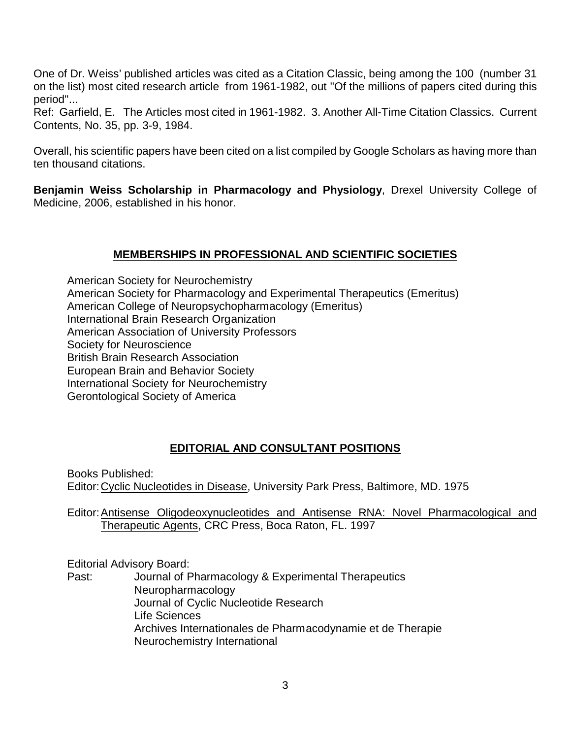One of Dr. Weiss' published articles was cited as a Citation Classic, being among the 100 (number 31 on the list) most cited research article from 1961-1982, out "Of the millions of papers cited during this period"...

Ref: Garfield, E. The Articles most cited in 1961-1982. 3. Another All-Time Citation Classics. Current Contents, No. 35, pp. 3-9, 1984.

Overall, his scientific papers have been cited on a list compiled by Google Scholars as having more than ten thousand citations.

**Benjamin Weiss Scholarship in Pharmacology and Physiology**, Drexel University College of Medicine, 2006, established in his honor.

## **MEMBERSHIPS IN PROFESSIONAL AND SCIENTIFIC SOCIETIES**

American Society for Neurochemistry American Society for Pharmacology and Experimental Therapeutics (Emeritus) American College of Neuropsychopharmacology (Emeritus) International Brain Research Organization American Association of University Professors Society for Neuroscience British Brain Research Association European Brain and Behavior Society International Society for Neurochemistry Gerontological Society of America

## **EDITORIAL AND CONSULTANT POSITIONS**

Books Published: Editor:Cyclic Nucleotides in Disease, University Park Press, Baltimore, MD. 1975

Editor:Antisense Oligodeoxynucleotides and Antisense RNA: Novel Pharmacological and Therapeutic Agents, CRC Press, Boca Raton, FL. 1997

Editorial Advisory Board:

Past: Journal of Pharmacology & Experimental Therapeutics Neuropharmacology Journal of Cyclic Nucleotide Research Life Sciences Archives Internationales de Pharmacodynamie et de Therapie Neurochemistry International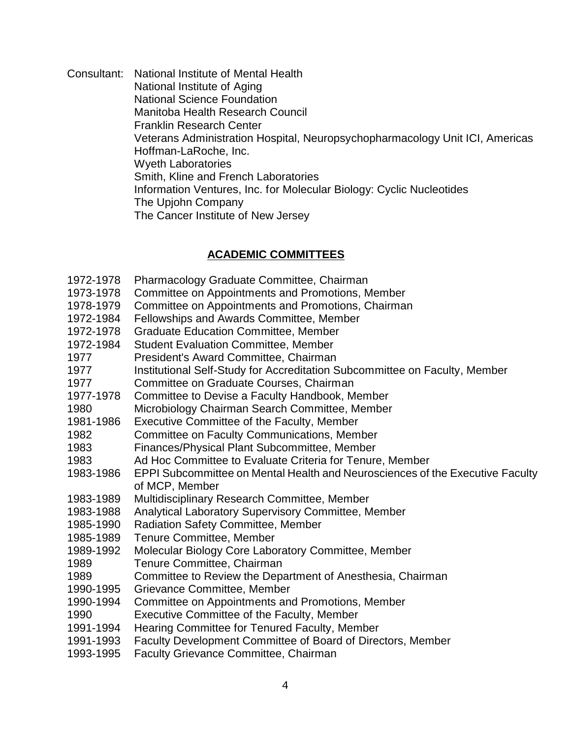Consultant: National Institute of Mental Health National Institute of Aging National Science Foundation Manitoba Health Research Council Franklin Research Center Veterans Administration Hospital, Neuropsychopharmacology Unit ICI, Americas Hoffman-LaRoche, Inc. Wyeth Laboratories Smith, Kline and French Laboratories Information Ventures, Inc. for Molecular Biology: Cyclic Nucleotides The Upjohn Company The Cancer Institute of New Jersey

## **ACADEMIC COMMITTEES**

| Institutional Self-Study for Accreditation Subcommittee on Faculty, Member    |
|-------------------------------------------------------------------------------|
|                                                                               |
|                                                                               |
|                                                                               |
|                                                                               |
|                                                                               |
|                                                                               |
|                                                                               |
| EPPI Subcommittee on Mental Health and Neurosciences of the Executive Faculty |
|                                                                               |
|                                                                               |
|                                                                               |
|                                                                               |
|                                                                               |
|                                                                               |
|                                                                               |
|                                                                               |
|                                                                               |
|                                                                               |
|                                                                               |
|                                                                               |
|                                                                               |
|                                                                               |
|                                                                               |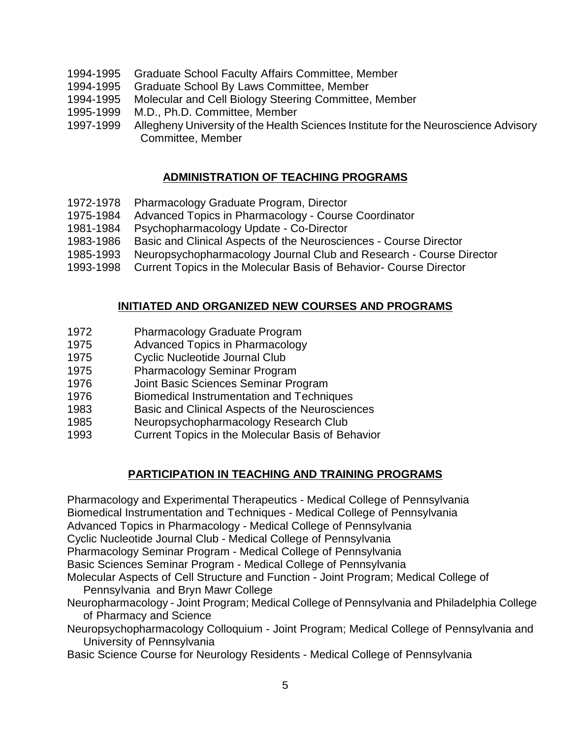- 1994-1995 Graduate School Faculty Affairs Committee, Member
- 1994-1995 Graduate School By Laws Committee, Member
- 1994-1995 Molecular and Cell Biology Steering Committee, Member
- 1995-1999 M.D., Ph.D. Committee, Member
- 1997-1999 Allegheny University of the Health Sciences Institute for the Neuroscience Advisory Committee, Member

# **ADMINISTRATION OF TEACHING PROGRAMS**

- 1972-1978 Pharmacology Graduate Program, Director
- 1975-1984 Advanced Topics in Pharmacology Course Coordinator
- 1981-1984 Psychopharmacology Update Co-Director
- 1983-1986 Basic and Clinical Aspects of the Neurosciences Course Director
- 1985-1993 Neuropsychopharmacology Journal Club and Research Course Director
- 1993-1998 Current Topics in the Molecular Basis of Behavior- Course Director

#### **INITIATED AND ORGANIZED NEW COURSES AND PROGRAMS**

- 1972 Pharmacology Graduate Program
- 1975 Advanced Topics in Pharmacology
- 1975 Cyclic Nucleotide Journal Club
- 1975 Pharmacology Seminar Program
- 1976 Joint Basic Sciences Seminar Program
- 1976 Biomedical Instrumentation and Techniques
- 1983 Basic and Clinical Aspects of the Neurosciences
- 1985 Neuropsychopharmacology Research Club
- 1993 Current Topics in the Molecular Basis of Behavior

## **PARTICIPATION IN TEACHING AND TRAINING PROGRAMS**

Pharmacology and Experimental Therapeutics - Medical College of Pennsylvania Biomedical Instrumentation and Techniques - Medical College of Pennsylvania Advanced Topics in Pharmacology - Medical College of Pennsylvania Cyclic Nucleotide Journal Club - Medical College of Pennsylvania Pharmacology Seminar Program - Medical College of Pennsylvania Basic Sciences Seminar Program - Medical College of Pennsylvania Molecular Aspects of Cell Structure and Function - Joint Program; Medical College of Pennsylvania and Bryn Mawr College

- Neuropharmacology Joint Program; Medical College of Pennsylvania and Philadelphia College of Pharmacy and Science
- Neuropsychopharmacology Colloquium Joint Program; Medical College of Pennsylvania and University of Pennsylvania
- Basic Science Course for Neurology Residents Medical College of Pennsylvania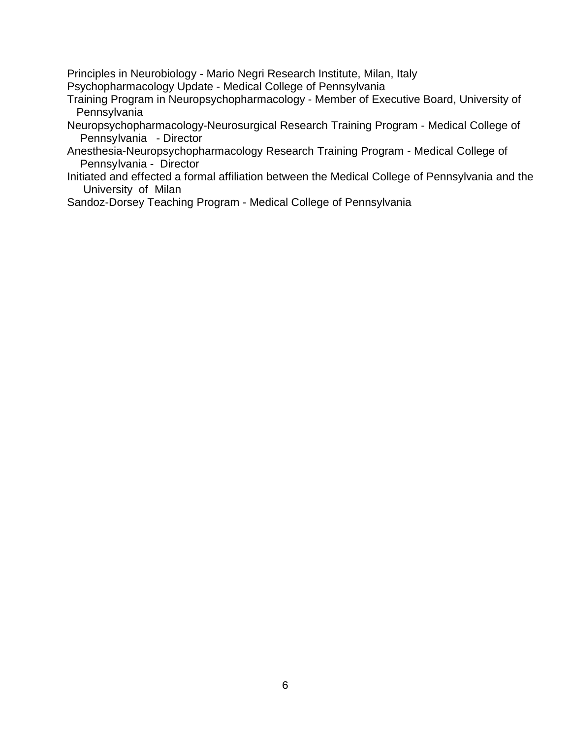Principles in Neurobiology - Mario Negri Research Institute, Milan, Italy

Psychopharmacology Update - Medical College of Pennsylvania

- Training Program in Neuropsychopharmacology Member of Executive Board, University of **Pennsylvania**
- Neuropsychopharmacology-Neurosurgical Research Training Program Medical College of Pennsylvania - Director
- Anesthesia-Neuropsychopharmacology Research Training Program Medical College of Pennsylvania - Director
- Initiated and effected a formal affiliation between the Medical College of Pennsylvania and the University of Milan

Sandoz-Dorsey Teaching Program - Medical College of Pennsylvania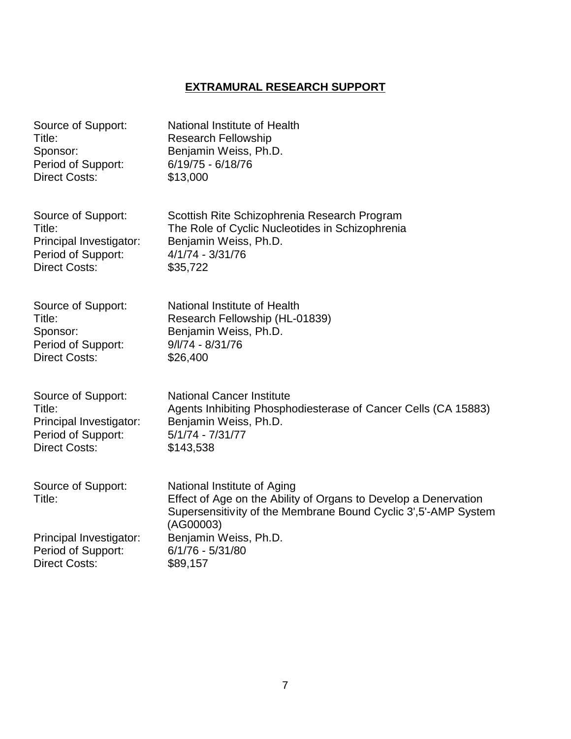# **EXTRAMURAL RESEARCH SUPPORT**

| Source of Support:           | National Institute of Health                                                                                                                                                   |
|------------------------------|--------------------------------------------------------------------------------------------------------------------------------------------------------------------------------|
| Title:                       | <b>Research Fellowship</b>                                                                                                                                                     |
| Sponsor:                     | Benjamin Weiss, Ph.D.                                                                                                                                                          |
| Period of Support:           | $6/19/75 - 6/18/76$                                                                                                                                                            |
| <b>Direct Costs:</b>         | \$13,000                                                                                                                                                                       |
| Source of Support:           | Scottish Rite Schizophrenia Research Program                                                                                                                                   |
| Title:                       | The Role of Cyclic Nucleotides in Schizophrenia                                                                                                                                |
| Principal Investigator:      | Benjamin Weiss, Ph.D.                                                                                                                                                          |
| Period of Support:           | $4/1/74 - 3/31/76$                                                                                                                                                             |
| <b>Direct Costs:</b>         | \$35,722                                                                                                                                                                       |
| Source of Support:           | National Institute of Health                                                                                                                                                   |
| Title:                       | Research Fellowship (HL-01839)                                                                                                                                                 |
| Sponsor:                     | Benjamin Weiss, Ph.D.                                                                                                                                                          |
| Period of Support:           | $9/1/74 - 8/31/76$                                                                                                                                                             |
| <b>Direct Costs:</b>         | \$26,400                                                                                                                                                                       |
| Source of Support:           | <b>National Cancer Institute</b>                                                                                                                                               |
| Title:                       | Agents Inhibiting Phosphodiesterase of Cancer Cells (CA 15883)                                                                                                                 |
| Principal Investigator:      | Benjamin Weiss, Ph.D.                                                                                                                                                          |
| Period of Support:           | $5/1/74 - 7/31/77$                                                                                                                                                             |
| <b>Direct Costs:</b>         | \$143,538                                                                                                                                                                      |
| Source of Support:<br>Title: | National Institute of Aging<br>Effect of Age on the Ability of Organs to Develop a Denervation<br>Supersensitivity of the Membrane Bound Cyclic 3', 5'-AMP System<br>(AG00003) |
| Principal Investigator:      | Benjamin Weiss, Ph.D.                                                                                                                                                          |
| Period of Support:           | 6/1/76 - 5/31/80                                                                                                                                                               |
| <b>Direct Costs:</b>         | \$89,157                                                                                                                                                                       |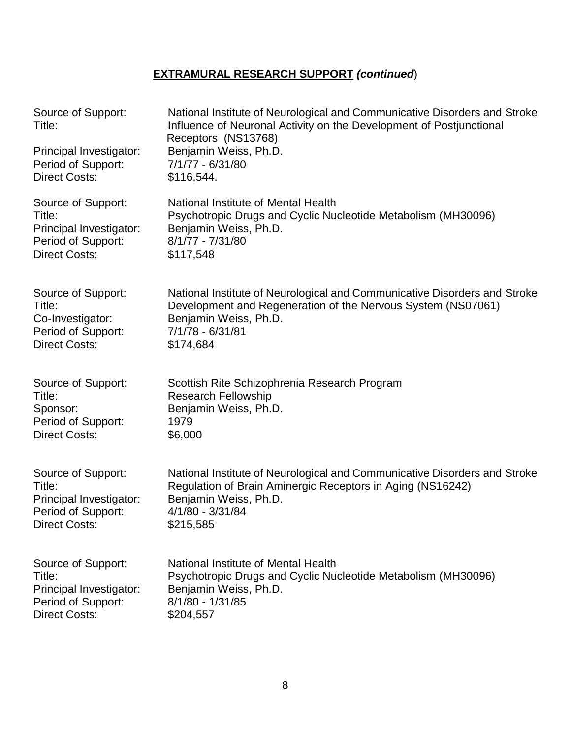| Source of Support:<br>Title: | National Institute of Neurological and Communicative Disorders and Stroke<br>Influence of Neuronal Activity on the Development of Postjunctional<br>Receptors (NS13768) |
|------------------------------|-------------------------------------------------------------------------------------------------------------------------------------------------------------------------|
| Principal Investigator:      | Benjamin Weiss, Ph.D.                                                                                                                                                   |
| Period of Support:           | 7/1/77 - 6/31/80                                                                                                                                                        |
| <b>Direct Costs:</b>         | \$116,544.                                                                                                                                                              |
| Source of Support:           | National Institute of Mental Health                                                                                                                                     |
| Title:                       | Psychotropic Drugs and Cyclic Nucleotide Metabolism (MH30096)                                                                                                           |
| Principal Investigator:      | Benjamin Weiss, Ph.D.                                                                                                                                                   |
| Period of Support:           | $8/1/77 - 7/31/80$                                                                                                                                                      |
| <b>Direct Costs:</b>         | \$117,548                                                                                                                                                               |
| Source of Support:           | National Institute of Neurological and Communicative Disorders and Stroke                                                                                               |
| Title:                       | Development and Regeneration of the Nervous System (NS07061)                                                                                                            |
| Co-Investigator:             | Benjamin Weiss, Ph.D.                                                                                                                                                   |
| Period of Support:           | 7/1/78 - 6/31/81                                                                                                                                                        |
| <b>Direct Costs:</b>         | \$174,684                                                                                                                                                               |
| Source of Support:           | Scottish Rite Schizophrenia Research Program                                                                                                                            |
| Title:                       | <b>Research Fellowship</b>                                                                                                                                              |
| Sponsor:                     | Benjamin Weiss, Ph.D.                                                                                                                                                   |
| Period of Support:           | 1979                                                                                                                                                                    |
| <b>Direct Costs:</b>         | \$6,000                                                                                                                                                                 |
| Source of Support:           | National Institute of Neurological and Communicative Disorders and Stroke                                                                                               |
| Title:                       | Regulation of Brain Aminergic Receptors in Aging (NS16242)                                                                                                              |
| Principal Investigator:      | Benjamin Weiss, Ph.D.                                                                                                                                                   |
| Period of Support:           | 4/1/80 - 3/31/84                                                                                                                                                        |
| <b>Direct Costs:</b>         | \$215,585                                                                                                                                                               |
| Source of Support:           | National Institute of Mental Health                                                                                                                                     |
| Title:                       | Psychotropic Drugs and Cyclic Nucleotide Metabolism (MH30096)                                                                                                           |
| Principal Investigator:      | Benjamin Weiss, Ph.D.                                                                                                                                                   |
| Period of Support:           | 8/1/80 - 1/31/85                                                                                                                                                        |
| <b>Direct Costs:</b>         | \$204,557                                                                                                                                                               |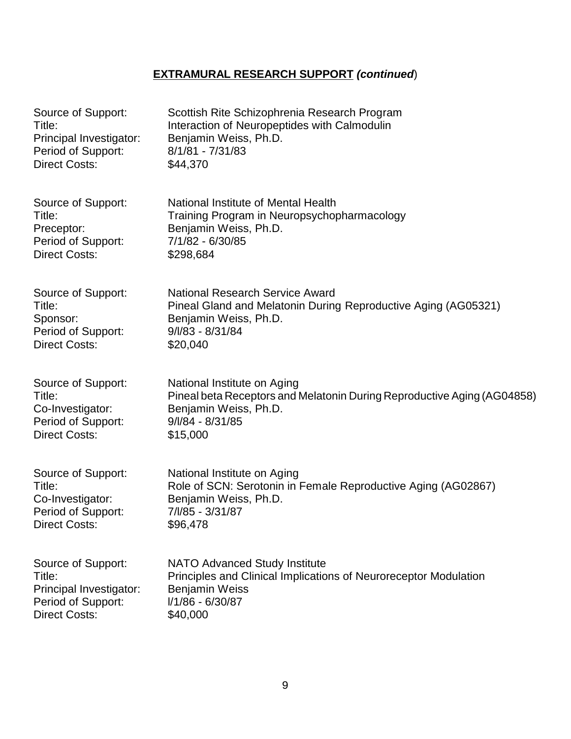| Source of Support:      | Scottish Rite Schizophrenia Research Program                            |
|-------------------------|-------------------------------------------------------------------------|
| Title:                  | Interaction of Neuropeptides with Calmodulin                            |
| Principal Investigator: | Benjamin Weiss, Ph.D.                                                   |
| Period of Support:      | $8/1/81 - 7/31/83$                                                      |
| <b>Direct Costs:</b>    | \$44,370                                                                |
| Source of Support:      | National Institute of Mental Health                                     |
| Title:                  | Training Program in Neuropsychopharmacology                             |
| Preceptor:              | Benjamin Weiss, Ph.D.                                                   |
| Period of Support:      | 7/1/82 - 6/30/85                                                        |
| <b>Direct Costs:</b>    | \$298,684                                                               |
| Source of Support:      | National Research Service Award                                         |
| Title:                  | Pineal Gland and Melatonin During Reproductive Aging (AG05321)          |
| Sponsor:                | Benjamin Weiss, Ph.D.                                                   |
| Period of Support:      | $9/1/83 - 8/31/84$                                                      |
| <b>Direct Costs:</b>    | \$20,040                                                                |
| Source of Support:      | National Institute on Aging                                             |
| Title:                  | Pineal beta Receptors and Melatonin During Reproductive Aging (AG04858) |
| Co-Investigator:        | Benjamin Weiss, Ph.D.                                                   |
| Period of Support:      | $9/1/84 - 8/31/85$                                                      |
| <b>Direct Costs:</b>    | \$15,000                                                                |
| Source of Support:      | National Institute on Aging                                             |
| Title:                  | Role of SCN: Serotonin in Female Reproductive Aging (AG02867)           |
| Co-Investigator:        | Benjamin Weiss, Ph.D.                                                   |
| Period of Support:      | 7/l/85 - 3/31/87                                                        |
| <b>Direct Costs:</b>    | \$96,478                                                                |
| Source of Support:      | <b>NATO Advanced Study Institute</b>                                    |
| Title:                  | Principles and Clinical Implications of Neuroreceptor Modulation        |
| Principal Investigator: | <b>Benjamin Weiss</b>                                                   |
| Period of Support:      | I/1/86 - 6/30/87                                                        |
| <b>Direct Costs:</b>    | \$40,000                                                                |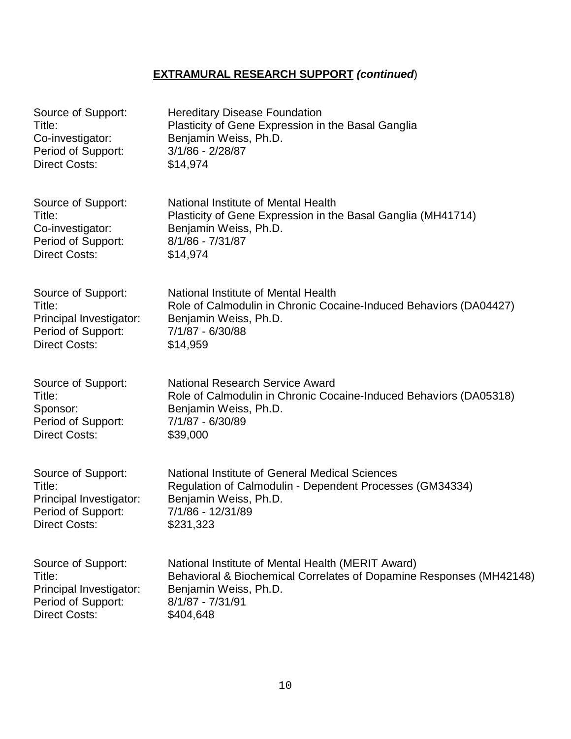| Source of Support:      | <b>Hereditary Disease Foundation</b>                                |
|-------------------------|---------------------------------------------------------------------|
| Title:                  | Plasticity of Gene Expression in the Basal Ganglia                  |
| Co-investigator:        | Benjamin Weiss, Ph.D.                                               |
| Period of Support:      | $3/1/86 - 2/28/87$                                                  |
| <b>Direct Costs:</b>    | \$14,974                                                            |
| Source of Support:      | National Institute of Mental Health                                 |
| Title:                  | Plasticity of Gene Expression in the Basal Ganglia (MH41714)        |
| Co-investigator:        | Benjamin Weiss, Ph.D.                                               |
| Period of Support:      | 8/1/86 - 7/31/87                                                    |
| <b>Direct Costs:</b>    | \$14,974                                                            |
| Source of Support:      | National Institute of Mental Health                                 |
| Title:                  | Role of Calmodulin in Chronic Cocaine-Induced Behaviors (DA04427)   |
| Principal Investigator: | Benjamin Weiss, Ph.D.                                               |
| Period of Support:      | 7/1/87 - 6/30/88                                                    |
| <b>Direct Costs:</b>    | \$14,959                                                            |
| Source of Support:      | <b>National Research Service Award</b>                              |
| Title:                  | Role of Calmodulin in Chronic Cocaine-Induced Behaviors (DA05318)   |
| Sponsor:                | Benjamin Weiss, Ph.D.                                               |
| Period of Support:      | 7/1/87 - 6/30/89                                                    |
| <b>Direct Costs:</b>    | \$39,000                                                            |
| Source of Support:      | National Institute of General Medical Sciences                      |
| Title:                  | Regulation of Calmodulin - Dependent Processes (GM34334)            |
| Principal Investigator: | Benjamin Weiss, Ph.D.                                               |
| Period of Support:      | 7/1/86 - 12/31/89                                                   |
| Direct Costs:           | \$231,323                                                           |
| Source of Support:      | National Institute of Mental Health (MERIT Award)                   |
| Title:                  | Behavioral & Biochemical Correlates of Dopamine Responses (MH42148) |
| Principal Investigator: | Benjamin Weiss, Ph.D.                                               |
| Period of Support:      | 8/1/87 - 7/31/91                                                    |
| <b>Direct Costs:</b>    | \$404,648                                                           |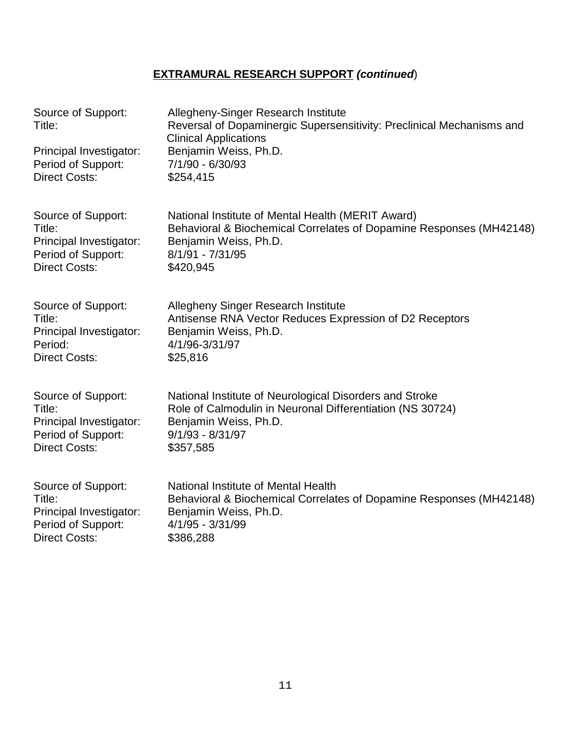| Source of Support:<br>Title:<br>Principal Investigator:<br>Period of Support:<br><b>Direct Costs:</b> | Allegheny-Singer Research Institute<br>Reversal of Dopaminergic Supersensitivity: Preclinical Mechanisms and<br><b>Clinical Applications</b><br>Benjamin Weiss, Ph.D.<br>7/1/90 - 6/30/93<br>\$254,415 |
|-------------------------------------------------------------------------------------------------------|--------------------------------------------------------------------------------------------------------------------------------------------------------------------------------------------------------|
| Source of Support:                                                                                    | National Institute of Mental Health (MERIT Award)                                                                                                                                                      |
| Title:                                                                                                | Behavioral & Biochemical Correlates of Dopamine Responses (MH42148)                                                                                                                                    |
| Principal Investigator:                                                                               | Benjamin Weiss, Ph.D.                                                                                                                                                                                  |
| Period of Support:                                                                                    | 8/1/91 - 7/31/95                                                                                                                                                                                       |
| <b>Direct Costs:</b>                                                                                  | \$420,945                                                                                                                                                                                              |
| Source of Support:                                                                                    | <b>Allegheny Singer Research Institute</b>                                                                                                                                                             |
| Title:                                                                                                | Antisense RNA Vector Reduces Expression of D2 Receptors                                                                                                                                                |
| Principal Investigator:                                                                               | Benjamin Weiss, Ph.D.                                                                                                                                                                                  |
| Period:                                                                                               | 4/1/96-3/31/97                                                                                                                                                                                         |
| <b>Direct Costs:</b>                                                                                  | \$25,816                                                                                                                                                                                               |
| Source of Support:                                                                                    | National Institute of Neurological Disorders and Stroke                                                                                                                                                |
| Title:                                                                                                | Role of Calmodulin in Neuronal Differentiation (NS 30724)                                                                                                                                              |
| Principal Investigator:                                                                               | Benjamin Weiss, Ph.D.                                                                                                                                                                                  |
| Period of Support:                                                                                    | $9/1/93 - 8/31/97$                                                                                                                                                                                     |
| <b>Direct Costs:</b>                                                                                  | \$357,585                                                                                                                                                                                              |
| Source of Support:                                                                                    | National Institute of Mental Health                                                                                                                                                                    |
| Title:                                                                                                | Behavioral & Biochemical Correlates of Dopamine Responses (MH42148)                                                                                                                                    |
| Principal Investigator:                                                                               | Benjamin Weiss, Ph.D.                                                                                                                                                                                  |
| Period of Support:                                                                                    | 4/1/95 - 3/31/99                                                                                                                                                                                       |
| <b>Direct Costs:</b>                                                                                  | \$386,288                                                                                                                                                                                              |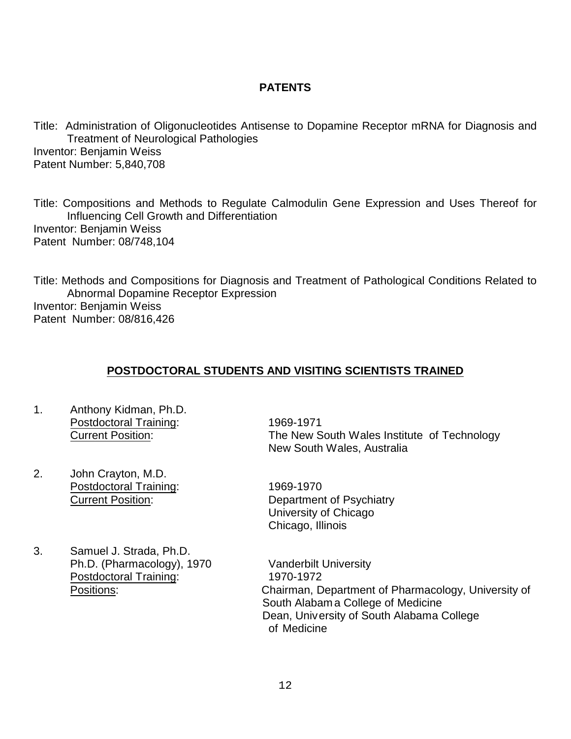#### **PATENTS**

Title: Administration of Oligonucleotides Antisense to Dopamine Receptor mRNA for Diagnosis and Treatment of Neurological Pathologies Inventor: Benjamin Weiss Patent Number: 5,840,708

Title: Compositions and Methods to Regulate Calmodulin Gene Expression and Uses Thereof for Influencing Cell Growth and Differentiation Inventor: Benjamin Weiss Patent Number: 08/748,104

Title: Methods and Compositions for Diagnosis and Treatment of Pathological Conditions Related to Abnormal Dopamine Receptor Expression Inventor: Benjamin Weiss Patent Number: 08/816,426

#### **POSTDOCTORAL STUDENTS AND VISITING SCIENTISTS TRAINED**

- 1. Anthony Kidman, Ph.D. Postdoctoral Training: 1969-1971
- 2. John Crayton, M.D. Postdoctoral Training: 1969-1970
- 3. Samuel J. Strada, Ph.D. Ph.D. (Pharmacology), 1970 Vanderbilt University Postdoctoral Training: 1970-1972

 Current Position: The New South Wales Institute of Technology New South Wales, Australia

 Current Position: Department of Psychiatry University of Chicago Chicago, Illinois

 Positions: Chairman, Department of Pharmacology, University of South Alabam a College of Medicine Dean, University of South Alabama College of Medicine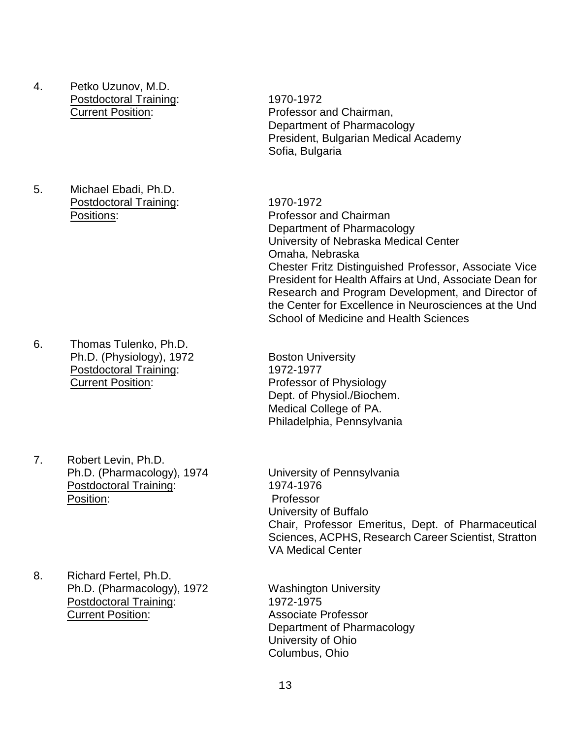- 4. Petko Uzunov, M.D. Postdoctoral Training: 1970-1972
- 5. Michael Ebadi, Ph.D. Postdoctoral Training: 1970-1972

- 6. Thomas Tulenko, Ph.D. Ph.D. (Physiology), 1972 Boston University Postdoctoral Training: 1972-1977 Current Position: Professor of Physiology
- 7. Robert Levin, Ph.D. Ph.D. (Pharmacology), 1974 University of Pennsylvania Postdoctoral Training: 1974-1976 Position: Professor
- 8. Richard Fertel, Ph.D. Ph.D. (Pharmacology), 1972 Washington University Postdoctoral Training: 1972-1975 Current Position: Associate Professor

Current Position: Professor and Chairman, Department of Pharmacology President, Bulgarian Medical Academy Sofia, Bulgaria

 Positions: Professor and Chairman Department of Pharmacology University of Nebraska Medical Center Omaha, Nebraska Chester Fritz Distinguished Professor, Associate Vice President for Health Affairs at Und, Associate Dean for Research and Program Development, and Director of the Center for Excellence in Neurosciences at the Und School of Medicine and Health Sciences

> Dept. of Physiol./Biochem. Medical College of PA. Philadelphia, Pennsylvania

University of Buffalo Chair, Professor Emeritus, Dept. of Pharmaceutical Sciences, ACPHS, Research Career Scientist, Stratton VA Medical Center

Department of Pharmacology University of Ohio Columbus, Ohio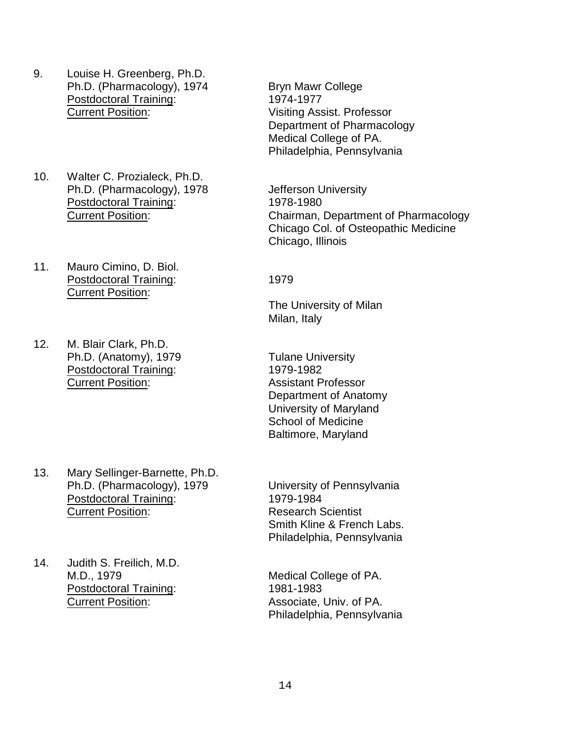- 9. Louise H. Greenberg, Ph.D. Ph.D. (Pharmacology), 1974 Bryn Mawr College Postdoctoral Training: 1974-1977 Current Position: Visiting Assist. Professor
- 10. Walter C. Prozialeck, Ph.D. Ph.D. (Pharmacology), 1978 Jefferson University Postdoctoral Training: 1978-1980
- 11. Mauro Cimino, D. Biol. Postdoctoral Training: 1979 Current Position:
- 12. M. Blair Clark, Ph.D. Ph.D. (Anatomy), 1979 Tulane University Postdoctoral Training: 1979-1982 Current Position: Assistant Professor

13. Mary Sellinger-Barnette, Ph.D. Ph.D. (Pharmacology), 1979 University of Pennsylvania Postdoctoral Training: 1979-1984 **Current Position:** Research Scientist

14. Judith S. Freilich, M.D. M.D., 1979 Medical College of PA. Postdoctoral Training: 1981-1983 Current Position: Associate, Univ. of PA.

Department of Pharmacology Medical College of PA. Philadelphia, Pennsylvania

 Current Position: Chairman, Department of Pharmacology Chicago Col. of Osteopathic Medicine Chicago, Illinois

The University of Milan Milan, Italy

Department of Anatomy University of Maryland School of Medicine Baltimore, Maryland

Smith Kline & French Labs. Philadelphia, Pennsylvania

Philadelphia, Pennsylvania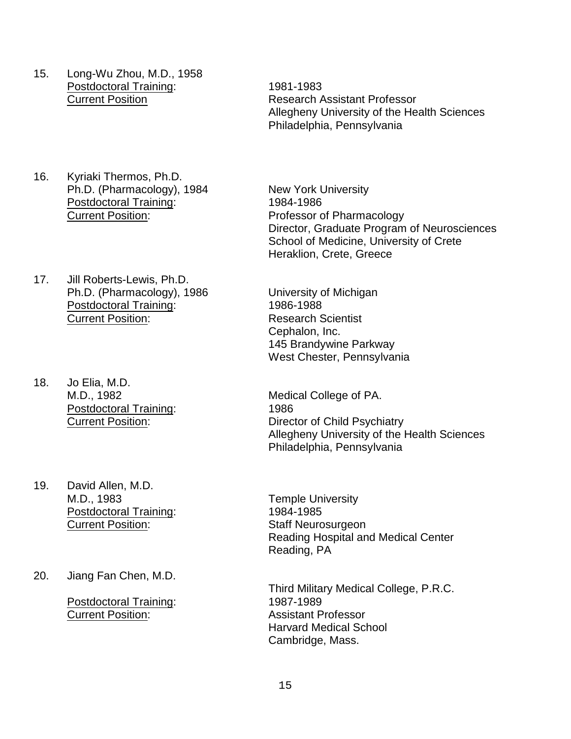- 15. Long-Wu Zhou, M.D., 1958 Postdoctoral Training: 1981-1983
- 16. Kyriaki Thermos, Ph.D. Ph.D. (Pharmacology), 1984 New York University Postdoctoral Training: 1984-1986 Current Position: Professor of Pharmacology
- 17. Jill Roberts-Lewis, Ph.D. Ph.D. (Pharmacology), 1986 University of Michigan<br>Postdoctoral Training: 1986-1988 Postdoctoral Training: **Current Position:** Research Scientist
- 18. Jo Elia, M.D. Postdoctoral Training: 1986
- 19. David Allen, M.D. M.D., 1983 Temple University Postdoctoral Training: 1984-1985<br>
Current Position: 1984-1985
- 20. Jiang Fan Chen, M.D.

 Postdoctoral Training: 1987-1989 **Current Position:** Assistant Professor

 Current Position Research Assistant Professor Allegheny University of the Health Sciences Philadelphia, Pennsylvania

> Director, Graduate Program of Neurosciences School of Medicine, University of Crete Heraklion, Crete, Greece

Cephalon, Inc. 145 Brandywine Parkway West Chester, Pennsylvania

M.D., 1982 Medical College of PA. Current Position: Director of Child Psychiatry Allegheny University of the Health Sciences Philadelphia, Pennsylvania

> Staff Neurosurgeon Reading Hospital and Medical Center Reading, PA

> Third Military Medical College, P.R.C. Harvard Medical School Cambridge, Mass.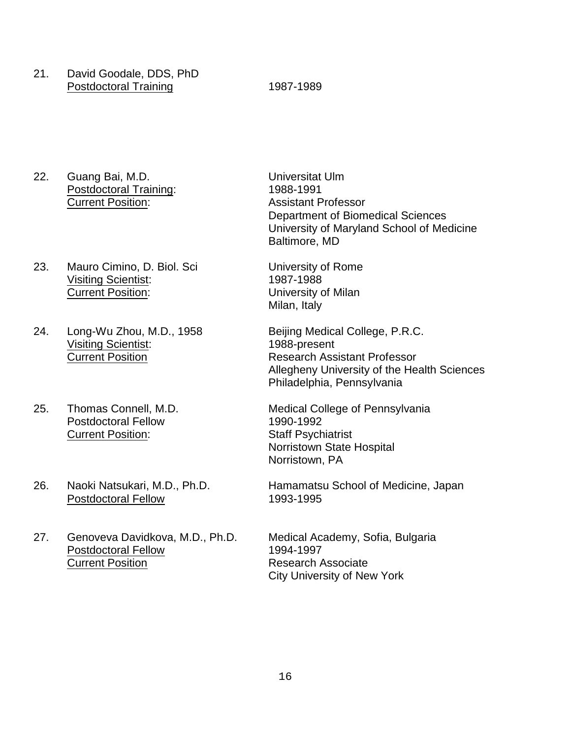21. David Goodale, DDS, PhD Postdoctoral Training 1987-1989

- 22. Guang Bai, M.D.<br>
Postdoctoral Training: 1988-1991 Postdoctoral Training:<br>Current Position:
- 23. Mauro Cimino, D. Biol. Sci **University of Rome** Visiting Scientist: 1987-1988 Current Position: University of Milan
- 24. Long-Wu Zhou, M.D., 1958 Beijing Medical College, P.R.C. Visiting Scientist: 1988-present
- Postdoctoral Fellow 1990-1992 **Current Position:** Staff Psychiatrist
- Postdoctoral Fellow 1993-1995
- 27. Genoveva Davidkova, M.D., Ph.D. Medical Academy, Sofia, Bulgaria Postdoctoral Fellow 1994-1997 **Current Position Current Position** Research Associate
- **Assistant Professor** Department of Biomedical Sciences University of Maryland School of Medicine Baltimore, MD
- Milan, Italy
- Current Position Research Assistant Professor Allegheny University of the Health Sciences Philadelphia, Pennsylvania
- 25. Thomas Connell, M.D. Medical College of Pennsylvania Norristown State Hospital Norristown, PA
- 26. Naoki Natsukari, M.D., Ph.D. Hamamatsu School of Medicine, Japan
	- City University of New York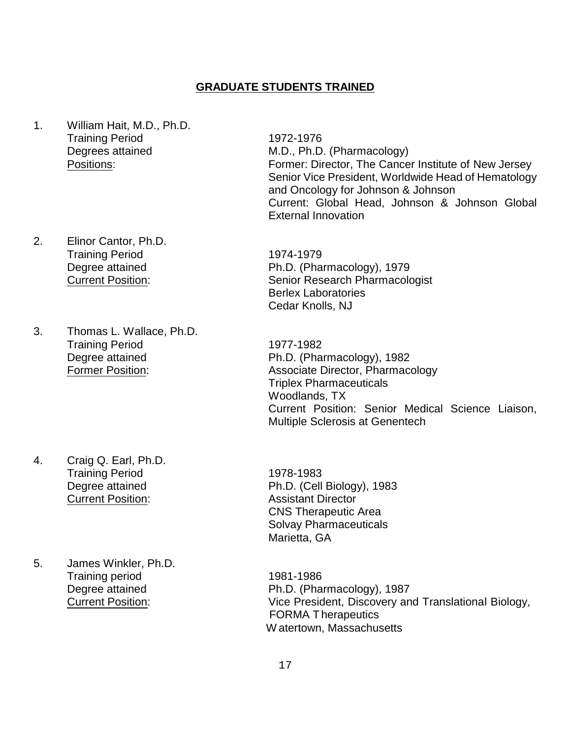#### **GRADUATE STUDENTS TRAINED**

- 1. William Hait, M.D., Ph.D. Training Period 1972-1976
- 2. Elinor Cantor, Ph.D. Training Period 1974-1979
- 3. Thomas L. Wallace, Ph.D. Training Period 1977-1982

4. Craig Q. Earl, Ph.D. Training Period 1978-1983 **Current Position:** Assistant Director

5. James Winkler, Ph.D. Training period 1981-1986

Degrees attained M.D., Ph.D. (Pharmacology) Positions: Former: Director, The Cancer Institute of New Jersey Senior Vice President, Worldwide Head of Hematology and Oncology for Johnson & Johnson Current: Global Head, Johnson & Johnson Global External Innovation

Degree attained Ph.D. (Pharmacology), 1979 Current Position: Senior Research Pharmacologist Berlex Laboratories Cedar Knolls, NJ

Degree attained Ph.D. (Pharmacology), 1982 Former Position: Associate Director, Pharmacology Triplex Pharmaceuticals Woodlands, TX Current Position: Senior Medical Science Liaison, Multiple Sclerosis at Genentech

Degree attained Ph.D. (Cell Biology), 1983 CNS Therapeutic Area Solvay Pharmaceuticals Marietta, GA

Degree attained **Ph.D.** (Pharmacology), 1987 Current Position: Vice President, Discovery and Translational Biology, FORMA Therapeutics W atertown, Massachusetts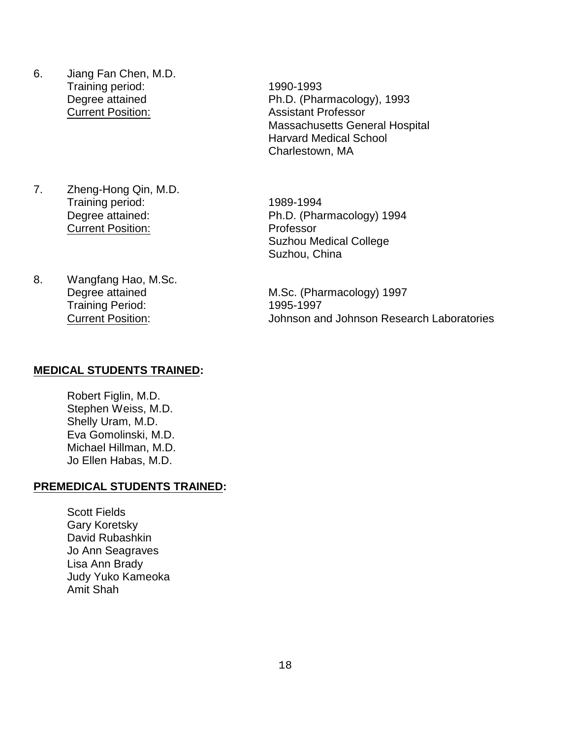- 6. Jiang Fan Chen, M.D. Training period: 1990-1993 **Current Position:** Assistant Professor
- 7. Zheng-Hong Qin, M.D. Training period: 1989-1994 **Current Position:** Professor
- 8. Wangfang Hao, M.Sc. Training Period: 1995-1997

Degree attained Ph.D. (Pharmacology), 1993 Massachusetts General Hospital Harvard Medical School Charlestown, MA

Degree attained: Ph.D. (Pharmacology) 1994 Suzhou Medical College Suzhou, China

Degree attained M.Sc. (Pharmacology) 1997 Current Position: Johnson and Johnson Research Laboratories

#### **MEDICAL STUDENTS TRAINED:**

Robert Figlin, M.D. Stephen Weiss, M.D. Shelly Uram, M.D. Eva Gomolinski, M.D. Michael Hillman, M.D. Jo Ellen Habas, M.D.

#### **PREMEDICAL STUDENTS TRAINED:**

Scott Fields Gary Koretsky David Rubashkin Jo Ann Seagraves Lisa Ann Brady Judy Yuko Kameoka Amit Shah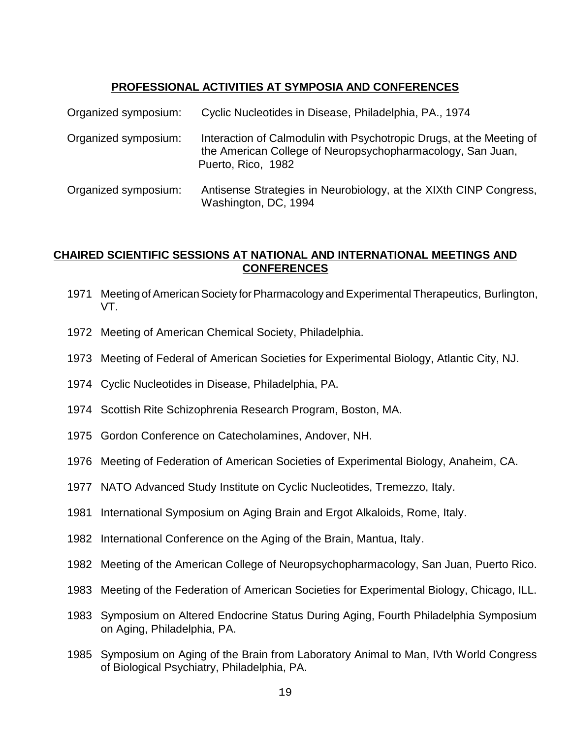# **PROFESSIONAL ACTIVITIES AT SYMPOSIA AND CONFERENCES**

| Organized symposium: | Cyclic Nucleotides in Disease, Philadelphia, PA., 1974                                                                                                   |
|----------------------|----------------------------------------------------------------------------------------------------------------------------------------------------------|
| Organized symposium: | Interaction of Calmodulin with Psychotropic Drugs, at the Meeting of<br>the American College of Neuropsychopharmacology, San Juan,<br>Puerto, Rico, 1982 |
| Organized symposium: | Antisense Strategies in Neurobiology, at the XIXth CINP Congress,<br>Washington, DC, 1994                                                                |

#### **CHAIRED SCIENTIFIC SESSIONS AT NATIONAL AND INTERNATIONAL MEETINGS AND CONFERENCES**

- 1971 Meeting of American Society for Pharmacology and Experimental Therapeutics, Burlington, VT.
- 1972 Meeting of American Chemical Society, Philadelphia.
- 1973 Meeting of Federal of American Societies for Experimental Biology, Atlantic City, NJ.
- 1974 Cyclic Nucleotides in Disease, Philadelphia, PA.
- 1974 Scottish Rite Schizophrenia Research Program, Boston, MA.
- 1975 Gordon Conference on Catecholamines, Andover, NH.
- 1976 Meeting of Federation of American Societies of Experimental Biology, Anaheim, CA.
- 1977 NATO Advanced Study Institute on Cyclic Nucleotides, Tremezzo, Italy.
- 1981 International Symposium on Aging Brain and Ergot Alkaloids, Rome, Italy.
- 1982 International Conference on the Aging of the Brain, Mantua, Italy.
- 1982 Meeting of the American College of Neuropsychopharmacology, San Juan, Puerto Rico.
- 1983 Meeting of the Federation of American Societies for Experimental Biology, Chicago, ILL.
- 1983 Symposium on Altered Endocrine Status During Aging, Fourth Philadelphia Symposium on Aging, Philadelphia, PA.
- 1985 Symposium on Aging of the Brain from Laboratory Animal to Man, IVth World Congress of Biological Psychiatry, Philadelphia, PA.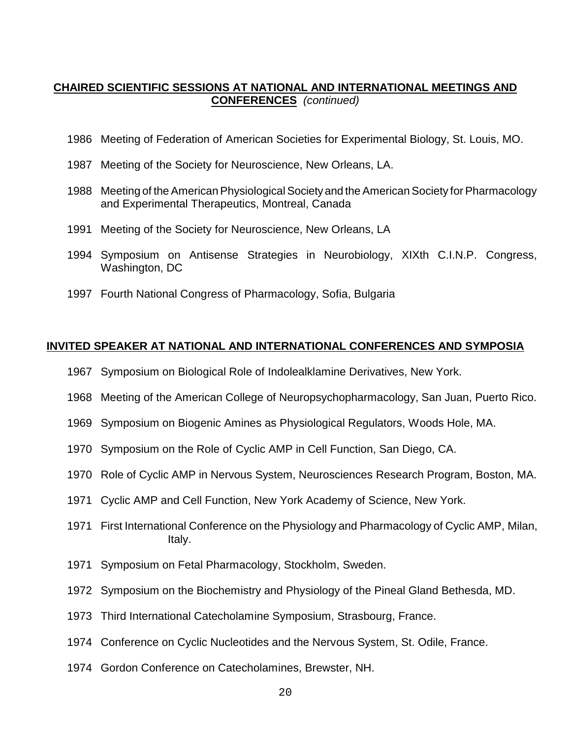#### **CHAIRED SCIENTIFIC SESSIONS AT NATIONAL AND INTERNATIONAL MEETINGS AND CONFERENCES** *(continued)*

- 1986 Meeting of Federation of American Societies for Experimental Biology, St. Louis, MO.
- 1987 Meeting of the Society for Neuroscience, New Orleans, LA.
- 1988 Meeting of the American Physiological Societyand the American Society for Pharmacology and Experimental Therapeutics, Montreal, Canada
- 1991 Meeting of the Society for Neuroscience, New Orleans, LA
- 1994 Symposium on Antisense Strategies in Neurobiology, XIXth C.I.N.P. Congress, Washington, DC
- 1997 Fourth National Congress of Pharmacology, Sofia, Bulgaria

#### **INVITED SPEAKER AT NATIONAL AND INTERNATIONAL CONFERENCES AND SYMPOSIA**

- 1967 Symposium on Biological Role of Indolealklamine Derivatives, New York.
- 1968 Meeting of the American College of Neuropsychopharmacology, San Juan, Puerto Rico.
- 1969 Symposium on Biogenic Amines as Physiological Regulators, Woods Hole, MA.
- 1970 Symposium on the Role of Cyclic AMP in Cell Function, San Diego, CA.
- 1970 Role of Cyclic AMP in Nervous System, Neurosciences Research Program, Boston, MA.
- 1971 Cyclic AMP and Cell Function, New York Academy of Science, New York.
- 1971 First International Conference on the Physiology and Pharmacology of Cyclic AMP, Milan, Italy.
- 1971 Symposium on Fetal Pharmacology, Stockholm, Sweden.
- 1972 Symposium on the Biochemistry and Physiology of the Pineal Gland Bethesda, MD.
- 1973 Third International Catecholamine Symposium, Strasbourg, France.
- 1974 Conference on Cyclic Nucleotides and the Nervous System, St. Odile, France.
- 1974 Gordon Conference on Catecholamines, Brewster, NH.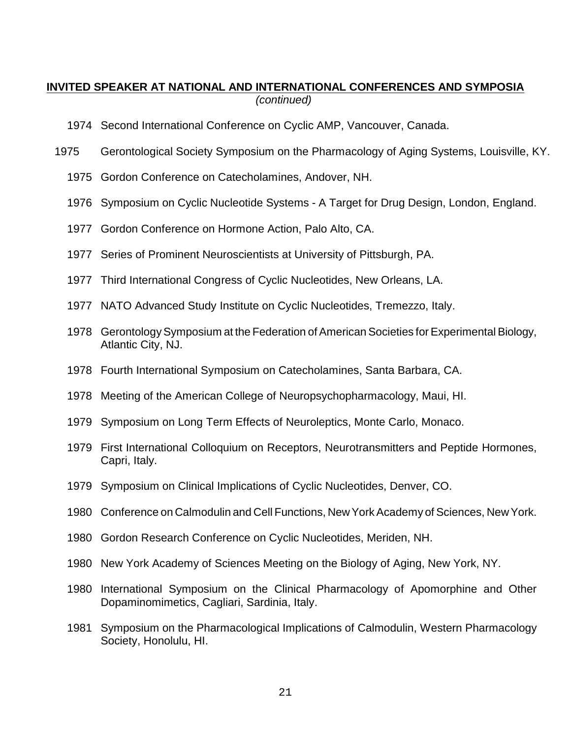#### **INVITED SPEAKER AT NATIONAL AND INTERNATIONAL CONFERENCES AND SYMPOSIA** *(continued)*

- 1974 Second International Conference on Cyclic AMP, Vancouver, Canada.
- 1975 Gerontological Society Symposium on the Pharmacology of Aging Systems, Louisville, KY.
	- 1975 Gordon Conference on Catecholamines, Andover, NH.
	- 1976 Symposium on Cyclic Nucleotide Systems A Target for Drug Design, London, England.
	- 1977 Gordon Conference on Hormone Action, Palo Alto, CA.
	- 1977 Series of Prominent Neuroscientists at University of Pittsburgh, PA.
	- 1977 Third International Congress of Cyclic Nucleotides, New Orleans, LA.
	- 1977 NATO Advanced Study Institute on Cyclic Nucleotides, Tremezzo, Italy.
	- 1978 Gerontology Symposium at the Federation of American Societies for Experimental Biology, Atlantic City, NJ.
	- 1978 Fourth International Symposium on Catecholamines, Santa Barbara, CA.
	- 1978 Meeting of the American College of Neuropsychopharmacology, Maui, HI.
	- 1979 Symposium on Long Term Effects of Neuroleptics, Monte Carlo, Monaco.
	- 1979 First International Colloquium on Receptors, Neurotransmitters and Peptide Hormones, Capri, Italy.
	- 1979 Symposium on Clinical Implications of Cyclic Nucleotides, Denver, CO.
	- 1980 Conference on Calmodulin and Cell Functions, New York Academy of Sciences, New York.
	- 1980 Gordon Research Conference on Cyclic Nucleotides, Meriden, NH.
	- 1980 New York Academy of Sciences Meeting on the Biology of Aging, New York, NY.
	- 1980 International Symposium on the Clinical Pharmacology of Apomorphine and Other Dopaminomimetics, Cagliari, Sardinia, Italy.
	- 1981 Symposium on the Pharmacological Implications of Calmodulin, Western Pharmacology Society, Honolulu, HI.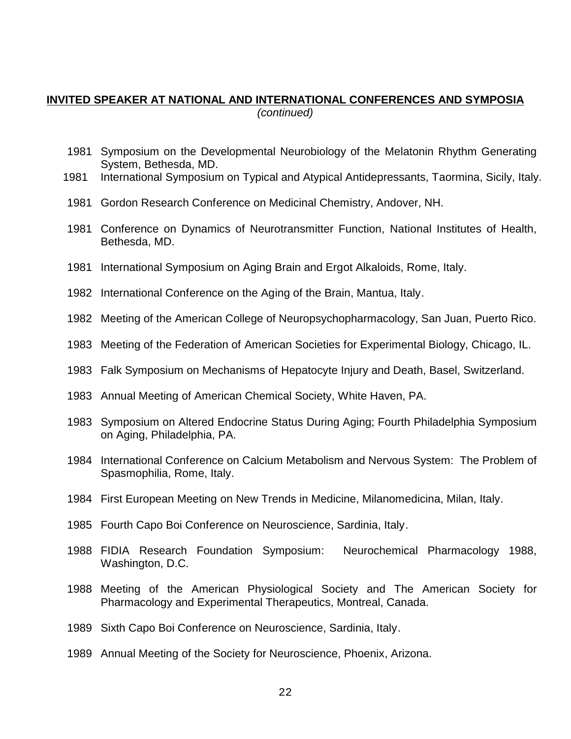#### **INVITED SPEAKER AT NATIONAL AND INTERNATIONAL CONFERENCES AND SYMPOSIA** *(continued)*

- Symposium on the Developmental Neurobiology of the Melatonin Rhythm Generating System, Bethesda, MD.
- International Symposium on Typical and Atypical Antidepressants, Taormina, Sicily, Italy.
- Gordon Research Conference on Medicinal Chemistry, Andover, NH.
- Conference on Dynamics of Neurotransmitter Function, National Institutes of Health, Bethesda, MD.
- International Symposium on Aging Brain and Ergot Alkaloids, Rome, Italy.
- International Conference on the Aging of the Brain, Mantua, Italy.
- Meeting of the American College of Neuropsychopharmacology, San Juan, Puerto Rico.
- Meeting of the Federation of American Societies for Experimental Biology, Chicago, IL.
- Falk Symposium on Mechanisms of Hepatocyte Injury and Death, Basel, Switzerland.
- Annual Meeting of American Chemical Society, White Haven, PA.
- Symposium on Altered Endocrine Status During Aging; Fourth Philadelphia Symposium on Aging, Philadelphia, PA.
- International Conference on Calcium Metabolism and Nervous System: The Problem of Spasmophilia, Rome, Italy.
- First European Meeting on New Trends in Medicine, Milanomedicina, Milan, Italy.
- Fourth Capo Boi Conference on Neuroscience, Sardinia, Italy.
- FIDIA Research Foundation Symposium: Neurochemical Pharmacology 1988, Washington, D.C.
- Meeting of the American Physiological Society and The American Society for Pharmacology and Experimental Therapeutics, Montreal, Canada.
- Sixth Capo Boi Conference on Neuroscience, Sardinia, Italy.
- Annual Meeting of the Society for Neuroscience, Phoenix, Arizona.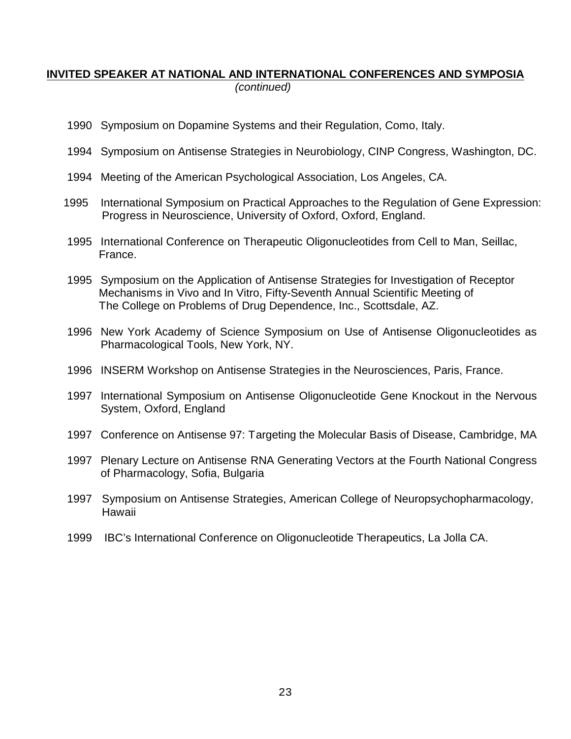## **INVITED SPEAKER AT NATIONAL AND INTERNATIONAL CONFERENCES AND SYMPOSIA** *(continued)*

- 1990 Symposium on Dopamine Systems and their Regulation, Como, Italy.
- 1994 Symposium on Antisense Strategies in Neurobiology, CINP Congress, Washington, DC.
- 1994 Meeting of the American Psychological Association, Los Angeles, CA.
- 1995 International Symposium on Practical Approaches to the Regulation of Gene Expression: Progress in Neuroscience, University of Oxford, Oxford, England.
- 1995 International Conference on Therapeutic Oligonucleotides from Cell to Man, Seillac, France.
- 1995 Symposium on the Application of Antisense Strategies for Investigation of Receptor Mechanisms in Vivo and In Vitro, Fifty-Seventh Annual Scientific Meeting of The College on Problems of Drug Dependence, Inc., Scottsdale, AZ.
- 1996 New York Academy of Science Symposium on Use of Antisense Oligonucleotides as Pharmacological Tools, New York, NY.
- 1996 INSERM Workshop on Antisense Strategies in the Neurosciences, Paris, France.
- 1997 International Symposium on Antisense Oligonucleotide Gene Knockout in the Nervous System, Oxford, England
- 1997 Conference on Antisense 97: Targeting the Molecular Basis of Disease, Cambridge, MA
- 1997 Plenary Lecture on Antisense RNA Generating Vectors at the Fourth National Congress of Pharmacology, Sofia, Bulgaria
- 1997 Symposium on Antisense Strategies, American College of Neuropsychopharmacology, Hawaii
- 1999 IBC's International Conference on Oligonucleotide Therapeutics, La Jolla CA.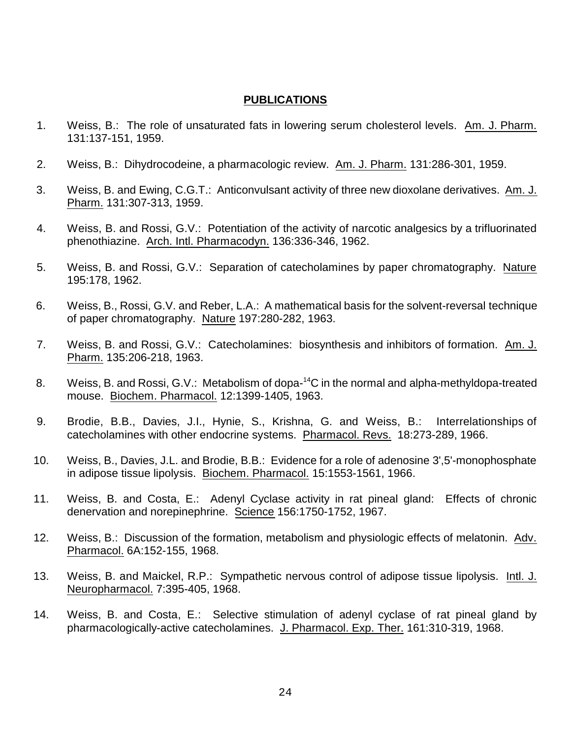#### **PUBLICATIONS**

- 1. Weiss, B.: The role of unsaturated fats in lowering serum cholesterol levels. Am. J. Pharm. 131:137-151, 1959.
- 2. Weiss, B.: Dihydrocodeine, a pharmacologic review. Am. J. Pharm. 131:286-301, 1959.
- 3. Weiss, B. and Ewing, C.G.T.: Anticonvulsant activity of three new dioxolane derivatives. Am. J. Pharm. 131:307-313, 1959.
- 4. Weiss, B. and Rossi, G.V.: Potentiation of the activity of narcotic analgesics by a trifluorinated phenothiazine. Arch. Intl. Pharmacodyn. 136:336-346, 1962.
- 5. Weiss, B. and Rossi, G.V.: Separation of catecholamines by paper chromatography. Nature 195:178, 1962.
- 6. Weiss, B., Rossi, G.V. and Reber, L.A.: A mathematical basis for the solvent-reversal technique of paper chromatography. Nature 197:280-282, 1963.
- 7. Weiss, B. and Rossi, G.V.: Catecholamines: biosynthesis and inhibitors of formation. Am. J. Pharm. 135:206-218, 1963.
- 8. Weiss, B. and Rossi, G.V.: Metabolism of dopa-<sup>14</sup>C in the normal and alpha-methyldopa-treated mouse. Biochem. Pharmacol. 12:1399-1405, 1963.
- 9. Brodie, B.B., Davies, J.I., Hynie, S., Krishna, G. and Weiss, B.: Interrelationships of catecholamines with other endocrine systems. Pharmacol. Revs. 18:273-289, 1966.
- 10. Weiss, B., Davies, J.L. and Brodie, B.B.: Evidence for a role of adenosine 3',5'-monophosphate in adipose tissue lipolysis. Biochem. Pharmacol. 15:1553-1561, 1966.
- 11. Weiss, B. and Costa, E.: Adenyl Cyclase activity in rat pineal gland: Effects of chronic denervation and norepinephrine. Science 156:1750-1752, 1967.
- 12. Weiss, B.: Discussion of the formation, metabolism and physiologic effects of melatonin. Adv. Pharmacol. 6A:152-155, 1968.
- 13. Weiss, B. and Maickel, R.P.: Sympathetic nervous control of adipose tissue lipolysis. Intl. J. Neuropharmacol. 7:395-405, 1968.
- 14. Weiss, B. and Costa, E.: Selective stimulation of adenyl cyclase of rat pineal gland by pharmacologically-active catecholamines. J. Pharmacol. Exp. Ther. 161:310-319, 1968.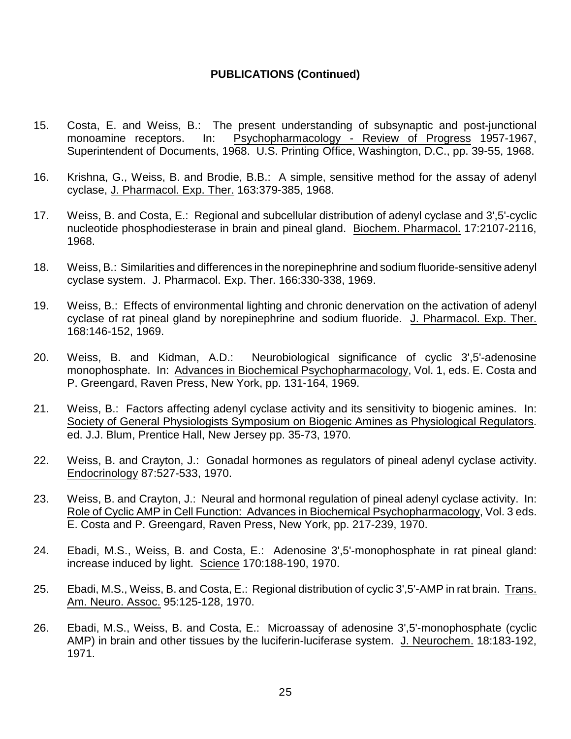- 15. Costa, E. and Weiss, B.: The present understanding of subsynaptic and post-junctional monoamine receptors. In: Psychopharmacology - Review of Progress 1957-1967, Superintendent of Documents, 1968. U.S. Printing Office, Washington, D.C., pp. 39-55, 1968.
- 16. Krishna, G., Weiss, B. and Brodie, B.B.: A simple, sensitive method for the assay of adenyl cyclase, J. Pharmacol. Exp. Ther. 163:379-385, 1968.
- 17. Weiss, B. and Costa, E.: Regional and subcellular distribution of adenyl cyclase and 3',5'-cyclic nucleotide phosphodiesterase in brain and pineal gland. Biochem. Pharmacol. 17:2107-2116, 1968.
- 18. Weiss, B.: Similarities and differences in the norepinephrine and sodium fluoride-sensitive adenyl cyclase system. J. Pharmacol. Exp. Ther. 166:330-338, 1969.
- 19. Weiss, B.: Effects of environmental lighting and chronic denervation on the activation of adenyl cyclase of rat pineal gland by norepinephrine and sodium fluoride. J. Pharmacol. Exp. Ther. 168:146-152, 1969.
- 20. Weiss, B. and Kidman, A.D.: Neurobiological significance of cyclic 3',5'-adenosine monophosphate. In: Advances in Biochemical Psychopharmacology, Vol. 1, eds. E. Costa and P. Greengard, Raven Press, New York, pp. 131-164, 1969.
- 21. Weiss, B.: Factors affecting adenyl cyclase activity and its sensitivity to biogenic amines. In: Society of General Physiologists Symposium on Biogenic Amines as Physiological Regulators. ed. J.J. Blum, Prentice Hall, New Jersey pp. 35-73, 1970.
- 22. Weiss, B. and Crayton, J.: Gonadal hormones as regulators of pineal adenyl cyclase activity. Endocrinology 87:527-533, 1970.
- 23. Weiss, B. and Crayton, J.: Neural and hormonal regulation of pineal adenyl cyclase activity. In: Role of Cyclic AMP in Cell Function: Advances in Biochemical Psychopharmacology, Vol. 3 eds. E. Costa and P. Greengard, Raven Press, New York, pp. 217-239, 1970.
- 24. Ebadi, M.S., Weiss, B. and Costa, E.: Adenosine 3',5'-monophosphate in rat pineal gland: increase induced by light. Science 170:188-190, 1970.
- 25. Ebadi, M.S., Weiss, B. and Costa, E.: Regional distribution of cyclic 3',5'-AMP in rat brain. Trans. Am. Neuro. Assoc. 95:125-128, 1970.
- 26. Ebadi, M.S., Weiss, B. and Costa, E.: Microassay of adenosine 3',5'-monophosphate (cyclic AMP) in brain and other tissues by the luciferin-luciferase system. J. Neurochem. 18:183-192, 1971.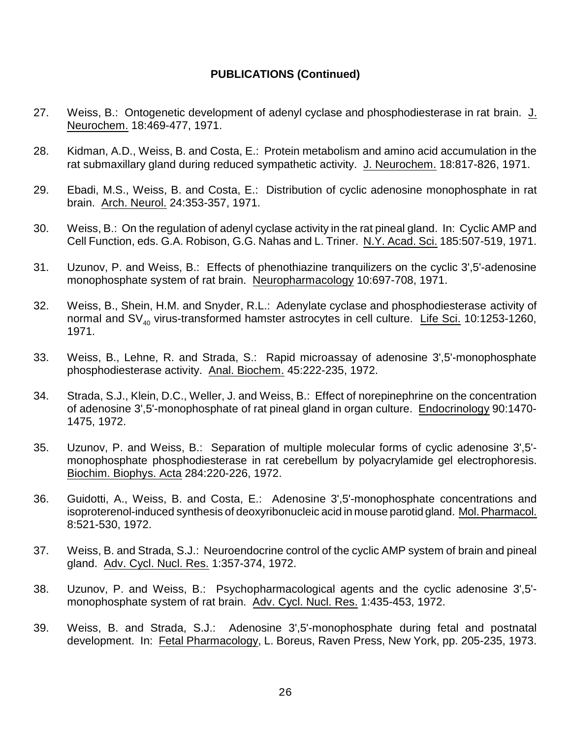- 27. Weiss, B.: Ontogenetic development of adenyl cyclase and phosphodiesterase in rat brain. J. Neurochem. 18:469-477, 1971.
- 28. Kidman, A.D., Weiss, B. and Costa, E.: Protein metabolism and amino acid accumulation in the rat submaxillary gland during reduced sympathetic activity. J. Neurochem. 18:817-826, 1971.
- 29. Ebadi, M.S., Weiss, B. and Costa, E.: Distribution of cyclic adenosine monophosphate in rat brain. Arch. Neurol. 24:353-357, 1971.
- 30. Weiss, B.: On the regulation of adenyl cyclase activity in the rat pineal gland. In: Cyclic AMP and Cell Function, eds. G.A. Robison, G.G. Nahas and L. Triner. N.Y. Acad. Sci. 185:507-519, 1971.
- 31. Uzunov, P. and Weiss, B.: Effects of phenothiazine tranquilizers on the cyclic 3',5'-adenosine monophosphate system of rat brain. Neuropharmacology 10:697-708, 1971.
- 32. Weiss, B., Shein, H.M. and Snyder, R.L.: Adenylate cyclase and phosphodiesterase activity of normal and  $SV_{40}$  virus-transformed hamster astrocytes in cell culture. Life Sci. 10:1253-1260, 1971.
- 33. Weiss, B., Lehne, R. and Strada, S.: Rapid microassay of adenosine 3',5'-monophosphate phosphodiesterase activity. Anal. Biochem. 45:222-235, 1972.
- 34. Strada, S.J., Klein, D.C., Weller, J. and Weiss, B.: Effect of norepinephrine on the concentration of adenosine 3',5'-monophosphate of rat pineal gland in organ culture. Endocrinology 90:1470- 1475, 1972.
- 35. Uzunov, P. and Weiss, B.: Separation of multiple molecular forms of cyclic adenosine 3',5' monophosphate phosphodiesterase in rat cerebellum by polyacrylamide gel electrophoresis. Biochim. Biophys. Acta 284:220-226, 1972.
- 36. Guidotti, A., Weiss, B. and Costa, E.: Adenosine 3',5'-monophosphate concentrations and isoproterenol-induced synthesis of deoxyribonucleic acid in mouse parotid gland. Mol.Pharmacol. 8:521-530, 1972.
- 37. Weiss, B. and Strada, S.J.: Neuroendocrine control of the cyclic AMP system of brain and pineal gland. Adv. Cycl. Nucl. Res. 1:357-374, 1972.
- 38. Uzunov, P. and Weiss, B.: Psychopharmacological agents and the cyclic adenosine 3',5' monophosphate system of rat brain. Adv. Cycl. Nucl. Res. 1:435-453, 1972.
- 39. Weiss, B. and Strada, S.J.: Adenosine 3',5'-monophosphate during fetal and postnatal development. In: Fetal Pharmacology, L. Boreus, Raven Press, New York, pp. 205-235, 1973.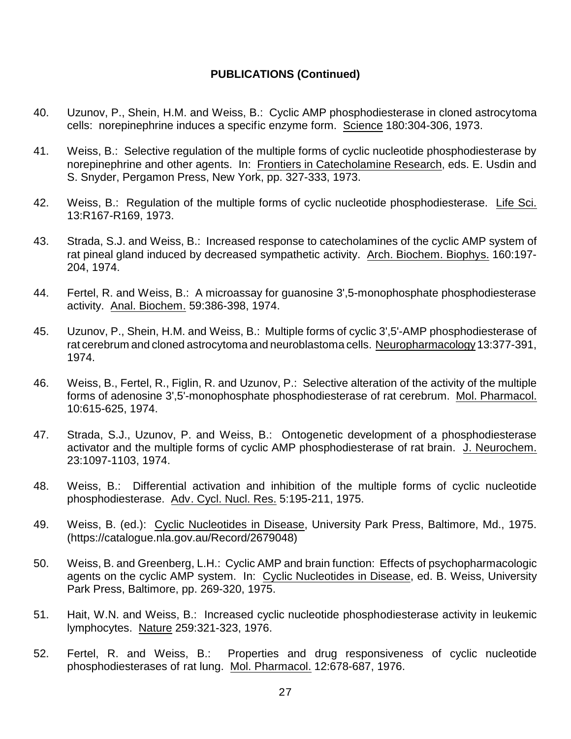- 40. Uzunov, P., Shein, H.M. and Weiss, B.: Cyclic AMP phosphodiesterase in cloned astrocytoma cells: norepinephrine induces a specific enzyme form. Science 180:304-306, 1973.
- 41. Weiss, B.: Selective regulation of the multiple forms of cyclic nucleotide phosphodiesterase by norepinephrine and other agents. In: Frontiers in Catecholamine Research, eds. E. Usdin and S. Snyder, Pergamon Press, New York, pp. 327-333, 1973.
- 42. Weiss, B.: Regulation of the multiple forms of cyclic nucleotide phosphodiesterase. Life Sci. 13:R167-R169, 1973.
- 43. Strada, S.J. and Weiss, B.: Increased response to catecholamines of the cyclic AMP system of rat pineal gland induced by decreased sympathetic activity. Arch. Biochem. Biophys. 160:197- 204, 1974.
- 44. Fertel, R. and Weiss, B.: A microassay for guanosine 3',5-monophosphate phosphodiesterase activity. Anal. Biochem. 59:386-398, 1974.
- 45. Uzunov, P., Shein, H.M. and Weiss, B.: Multiple forms of cyclic 3',5'-AMP phosphodiesterase of rat cerebrum and cloned astrocytoma and neuroblastoma cells. Neuropharmacology 13:377-391, 1974.
- 46. Weiss, B., Fertel, R., Figlin, R. and Uzunov, P.: Selective alteration of the activity of the multiple forms of adenosine 3',5'-monophosphate phosphodiesterase of rat cerebrum. Mol. Pharmacol. 10:615-625, 1974.
- 47. Strada, S.J., Uzunov, P. and Weiss, B.: Ontogenetic development of a phosphodiesterase activator and the multiple forms of cyclic AMP phosphodiesterase of rat brain. J. Neurochem. 23:1097-1103, 1974.
- 48. Weiss, B.: Differential activation and inhibition of the multiple forms of cyclic nucleotide phosphodiesterase. Adv. Cycl. Nucl. Res. 5:195-211, 1975.
- 49. Weiss, B. (ed.): Cyclic Nucleotides in Disease, University Park Press, Baltimore, Md., 1975. (https://catalogue.nla.gov.au/Record/2679048)
- 50. Weiss, B. and Greenberg, L.H.: Cyclic AMP and brain function: Effects of psychopharmacologic agents on the cyclic AMP system. In: Cyclic Nucleotides in Disease, ed. B. Weiss, University Park Press, Baltimore, pp. 269-320, 1975.
- 51. Hait, W.N. and Weiss, B.: Increased cyclic nucleotide phosphodiesterase activity in leukemic lymphocytes. Nature 259:321-323, 1976.
- 52. Fertel, R. and Weiss, B.: Properties and drug responsiveness of cyclic nucleotide phosphodiesterases of rat lung. Mol. Pharmacol. 12:678-687, 1976.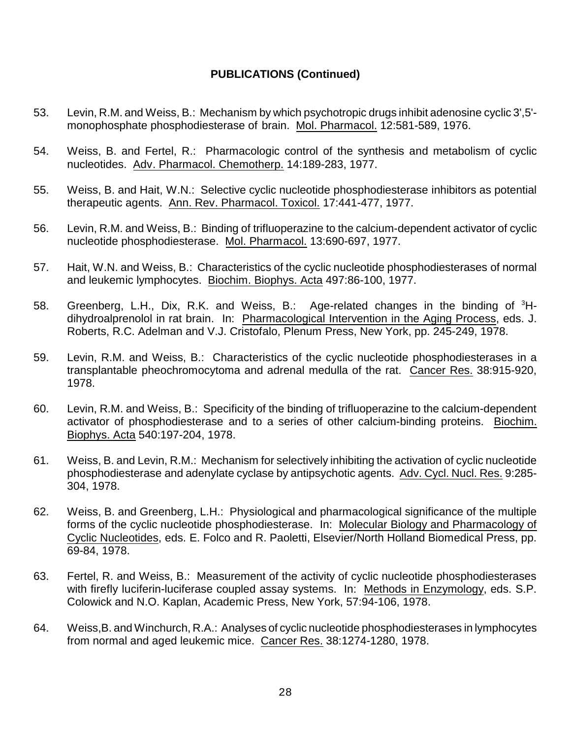- 53. Levin, R.M. and Weiss, B.: Mechanism by which psychotropic drugs inhibit adenosine cyclic 3',5' monophosphate phosphodiesterase of brain. Mol. Pharmacol. 12:581-589, 1976.
- 54. Weiss, B. and Fertel, R.: Pharmacologic control of the synthesis and metabolism of cyclic nucleotides. Adv. Pharmacol. Chemotherp. 14:189-283, 1977.
- 55. Weiss, B. and Hait, W.N.: Selective cyclic nucleotide phosphodiesterase inhibitors as potential therapeutic agents. Ann. Rev. Pharmacol. Toxicol. 17:441-477, 1977.
- 56. Levin, R.M. and Weiss, B.: Binding of trifluoperazine to the calcium-dependent activator of cyclic nucleotide phosphodiesterase. Mol. Pharmacol. 13:690-697, 1977.
- 57. Hait, W.N. and Weiss, B.: Characteristics of the cyclic nucleotide phosphodiesterases of normal and leukemic lymphocytes. Biochim. Biophys. Acta 497:86-100, 1977.
- 58. Greenberg, L.H., Dix, R.K. and Weiss, B.: Age-related changes in the binding of <sup>3</sup>Hdihydroalprenolol in rat brain. In: Pharmacological Intervention in the Aging Process, eds. J. Roberts, R.C. Adelman and V.J. Cristofalo, Plenum Press, New York, pp. 245-249, 1978.
- 59. Levin, R.M. and Weiss, B.: Characteristics of the cyclic nucleotide phosphodiesterases in a transplantable pheochromocytoma and adrenal medulla of the rat. Cancer Res. 38:915-920, 1978.
- 60. Levin, R.M. and Weiss, B.: Specificity of the binding of trifluoperazine to the calcium-dependent activator of phosphodiesterase and to a series of other calcium-binding proteins. Biochim. Biophys. Acta 540:197-204, 1978.
- 61. Weiss, B. and Levin, R.M.: Mechanism for selectively inhibiting the activation of cyclic nucleotide phosphodiesterase and adenylate cyclase by antipsychotic agents. Adv. Cycl. Nucl. Res. 9:285- 304, 1978.
- 62. Weiss, B. and Greenberg, L.H.: Physiological and pharmacological significance of the multiple forms of the cyclic nucleotide phosphodiesterase. In: Molecular Biology and Pharmacology of Cyclic Nucleotides, eds. E. Folco and R. Paoletti, Elsevier/North Holland Biomedical Press, pp. 69-84, 1978.
- 63. Fertel, R. and Weiss, B.: Measurement of the activity of cyclic nucleotide phosphodiesterases with firefly luciferin-luciferase coupled assay systems. In: Methods in Enzymology, eds. S.P. Colowick and N.O. Kaplan, Academic Press, New York, 57:94-106, 1978.
- 64. Weiss,B. and Winchurch, R.A.: Analyses of cyclic nucleotide phosphodiesterases in lymphocytes from normal and aged leukemic mice. Cancer Res. 38:1274-1280, 1978.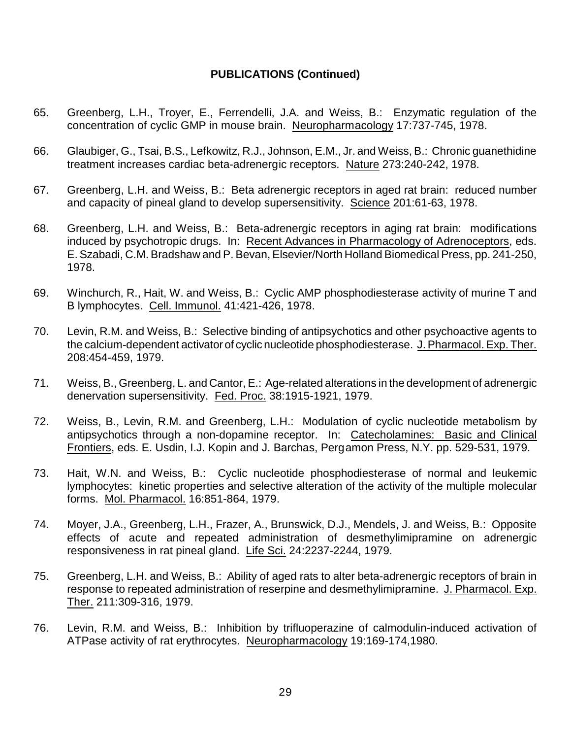- 65. Greenberg, L.H., Troyer, E., Ferrendelli, J.A. and Weiss, B.: Enzymatic regulation of the concentration of cyclic GMP in mouse brain. Neuropharmacology 17:737-745, 1978.
- 66. Glaubiger, G., Tsai, B.S., Lefkowitz, R.J., Johnson, E.M., Jr. and Weiss, B.: Chronic guanethidine treatment increases cardiac beta-adrenergic receptors. Nature 273:240-242, 1978.
- 67. Greenberg, L.H. and Weiss, B.: Beta adrenergic receptors in aged rat brain: reduced number and capacity of pineal gland to develop supersensitivity. Science 201:61-63, 1978.
- 68. Greenberg, L.H. and Weiss, B.: Beta-adrenergic receptors in aging rat brain: modifications induced by psychotropic drugs. In: Recent Advances in Pharmacology of Adrenoceptors, eds. E. Szabadi, C.M. Bradshaw and P. Bevan, Elsevier/North Holland Biomedical Press, pp. 241-250, 1978.
- 69. Winchurch, R., Hait, W. and Weiss, B.: Cyclic AMP phosphodiesterase activity of murine T and B lymphocytes. Cell. Immunol. 41:421-426, 1978.
- 70. Levin, R.M. and Weiss, B.: Selective binding of antipsychotics and other psychoactive agents to the calcium-dependent activator of cyclic nucleotide phosphodiesterase. J. Pharmacol. Exp. Ther. 208:454-459, 1979.
- 71. Weiss, B., Greenberg, L. and Cantor, E.: Age-related alterations in the development of adrenergic denervation supersensitivity. Fed. Proc. 38:1915-1921, 1979.
- 72. Weiss, B., Levin, R.M. and Greenberg, L.H.: Modulation of cyclic nucleotide metabolism by antipsychotics through a non-dopamine receptor. In: Catecholamines: Basic and Clinical Frontiers, eds. E. Usdin, I.J. Kopin and J. Barchas, Pergamon Press, N.Y. pp. 529-531, 1979.
- 73. Hait, W.N. and Weiss, B.: Cyclic nucleotide phosphodiesterase of normal and leukemic lymphocytes: kinetic properties and selective alteration of the activity of the multiple molecular forms. Mol. Pharmacol. 16:851-864, 1979.
- 74. Moyer, J.A., Greenberg, L.H., Frazer, A., Brunswick, D.J., Mendels, J. and Weiss, B.: Opposite effects of acute and repeated administration of desmethylimipramine on adrenergic responsiveness in rat pineal gland. Life Sci. 24:2237-2244, 1979.
- 75. Greenberg, L.H. and Weiss, B.: Ability of aged rats to alter beta-adrenergic receptors of brain in response to repeated administration of reserpine and desmethylimipramine. J. Pharmacol. Exp. Ther. 211:309-316, 1979.
- 76. Levin, R.M. and Weiss, B.: Inhibition by trifluoperazine of calmodulin-induced activation of ATPase activity of rat erythrocytes. Neuropharmacology 19:169-174,1980.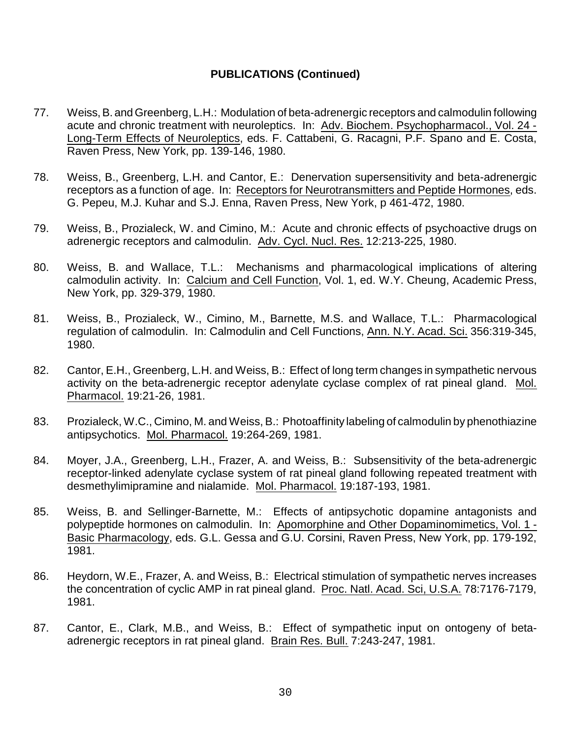- 77. Weiss,B. and Greenberg, L.H.: Modulation of beta-adrenergic receptors and calmodulin following acute and chronic treatment with neuroleptics. In: Adv. Biochem. Psychopharmacol., Vol. 24 - Long-Term Effects of Neuroleptics, eds. F. Cattabeni, G. Racagni, P.F. Spano and E. Costa, Raven Press, New York, pp. 139-146, 1980.
- 78. Weiss, B., Greenberg, L.H. and Cantor, E.: Denervation supersensitivity and beta-adrenergic receptors as a function of age. In: Receptors for Neurotransmitters and Peptide Hormones, eds. G. Pepeu, M.J. Kuhar and S.J. Enna, Raven Press, New York, p 461-472, 1980.
- 79. Weiss, B., Prozialeck, W. and Cimino, M.: Acute and chronic effects of psychoactive drugs on adrenergic receptors and calmodulin. Adv. Cycl. Nucl. Res. 12:213-225, 1980.
- 80. Weiss, B. and Wallace, T.L.: Mechanisms and pharmacological implications of altering calmodulin activity. In: Calcium and Cell Function, Vol. 1, ed. W.Y. Cheung, Academic Press, New York, pp. 329-379, 1980.
- 81. Weiss, B., Prozialeck, W., Cimino, M., Barnette, M.S. and Wallace, T.L.: Pharmacological regulation of calmodulin. In: Calmodulin and Cell Functions, Ann. N.Y. Acad. Sci. 356:319-345, 1980.
- 82. Cantor, E.H., Greenberg, L.H. and Weiss, B.: Effect of long term changes in sympathetic nervous activity on the beta-adrenergic receptor adenylate cyclase complex of rat pineal gland. Mol. Pharmacol. 19:21-26, 1981.
- 83. Prozialeck, W.C., Cimino, M. and Weiss, B.: Photoaffinity labeling of calmodulin by phenothiazine antipsychotics. Mol. Pharmacol. 19:264-269, 1981.
- 84. Moyer, J.A., Greenberg, L.H., Frazer, A. and Weiss, B.: Subsensitivity of the beta-adrenergic receptor-linked adenylate cyclase system of rat pineal gland following repeated treatment with desmethylimipramine and nialamide. Mol. Pharmacol. 19:187-193, 1981.
- 85. Weiss, B. and Sellinger-Barnette, M.: Effects of antipsychotic dopamine antagonists and polypeptide hormones on calmodulin. In: Apomorphine and Other Dopaminomimetics, Vol. 1 - Basic Pharmacology, eds. G.L. Gessa and G.U. Corsini, Raven Press, New York, pp. 179-192, 1981.
- 86. Heydorn, W.E., Frazer, A. and Weiss, B.: Electrical stimulation of sympathetic nerves increases the concentration of cyclic AMP in rat pineal gland. Proc. Natl. Acad. Sci, U.S.A. 78:7176-7179, 1981.
- 87. Cantor, E., Clark, M.B., and Weiss, B.: Effect of sympathetic input on ontogeny of betaadrenergic receptors in rat pineal gland. Brain Res. Bull. 7:243-247, 1981.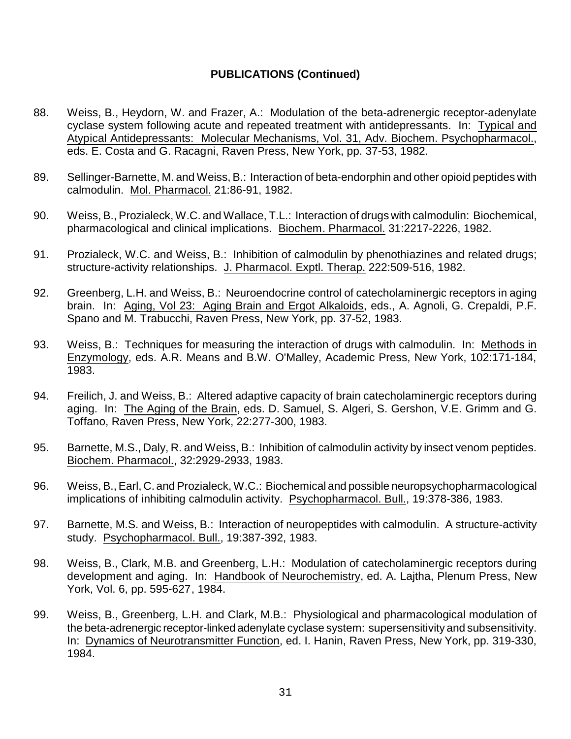- 88. Weiss, B., Heydorn, W. and Frazer, A.: Modulation of the beta-adrenergic receptor-adenylate cyclase system following acute and repeated treatment with antidepressants. In: Typical and Atypical Antidepressants: Molecular Mechanisms, Vol. 31, Adv. Biochem. Psychopharmacol., eds. E. Costa and G. Racagni, Raven Press, New York, pp. 37-53, 1982.
- 89. Sellinger-Barnette, M. and Weiss, B.: Interaction of beta-endorphin and other opioid peptides with calmodulin. Mol. Pharmacol. 21:86-91, 1982.
- 90. Weiss, B., Prozialeck, W.C. and Wallace, T.L.: Interaction of drugs with calmodulin: Biochemical, pharmacological and clinical implications. Biochem. Pharmacol. 31:2217-2226, 1982.
- 91. Prozialeck, W.C. and Weiss, B.: Inhibition of calmodulin by phenothiazines and related drugs; structure-activity relationships. J. Pharmacol. Exptl. Therap. 222:509-516, 1982.
- 92. Greenberg, L.H. and Weiss, B.: Neuroendocrine control of catecholaminergic receptors in aging brain. In: Aging, Vol 23: Aging Brain and Ergot Alkaloids, eds., A. Agnoli, G. Crepaldi, P.F. Spano and M. Trabucchi, Raven Press, New York, pp. 37-52, 1983.
- 93. Weiss, B.: Techniques for measuring the interaction of drugs with calmodulin. In: Methods in Enzymology, eds. A.R. Means and B.W. O'Malley, Academic Press, New York, 102:171-184, 1983.
- 94. Freilich, J. and Weiss, B.: Altered adaptive capacity of brain catecholaminergic receptors during aging. In: The Aging of the Brain, eds. D. Samuel, S. Algeri, S. Gershon, V.E. Grimm and G. Toffano, Raven Press, New York, 22:277-300, 1983.
- 95. Barnette, M.S., Daly, R. and Weiss, B.: Inhibition of calmodulin activity by insect venom peptides. Biochem. Pharmacol., 32:2929-2933, 1983.
- 96. Weiss, B., Earl, C. and Prozialeck, W.C.: Biochemical and possible neuropsychopharmacological implications of inhibiting calmodulin activity. Psychopharmacol. Bull., 19:378-386, 1983.
- 97. Barnette, M.S. and Weiss, B.: Interaction of neuropeptides with calmodulin. A structure-activity study. Psychopharmacol. Bull., 19:387-392, 1983.
- 98. Weiss, B., Clark, M.B. and Greenberg, L.H.: Modulation of catecholaminergic receptors during development and aging. In: Handbook of Neurochemistry, ed. A. Lajtha, Plenum Press, New York, Vol. 6, pp. 595-627, 1984.
- 99. Weiss, B., Greenberg, L.H. and Clark, M.B.: Physiological and pharmacological modulation of the beta-adrenergic receptor-linked adenylate cyclase system: supersensitivity and subsensitivity. In: Dynamics of Neurotransmitter Function, ed. I. Hanin, Raven Press, New York, pp. 319-330, 1984.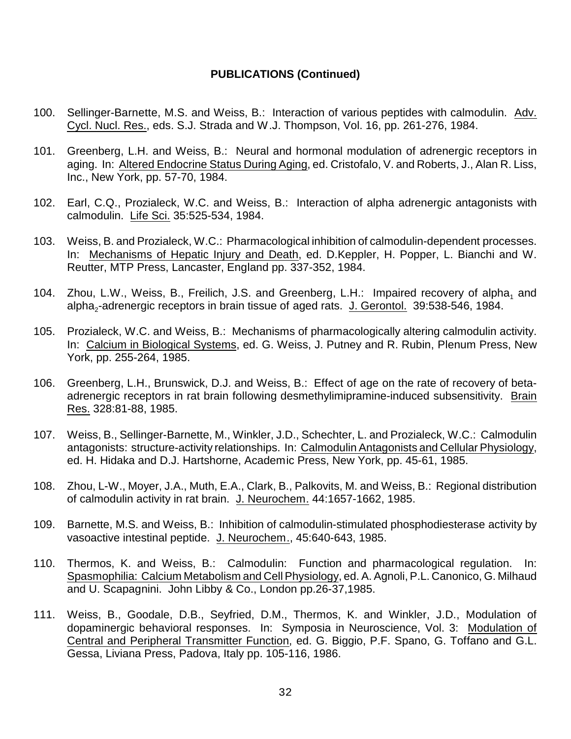- 100. Sellinger-Barnette, M.S. and Weiss, B.: Interaction of various peptides with calmodulin. Adv. Cycl. Nucl. Res., eds. S.J. Strada and W.J. Thompson, Vol. 16, pp. 261-276, 1984.
- 101. Greenberg, L.H. and Weiss, B.: Neural and hormonal modulation of adrenergic receptors in aging. In: Altered Endocrine Status During Aging, ed. Cristofalo, V. and Roberts, J., Alan R. Liss, Inc., New York, pp. 57-70, 1984.
- 102. Earl, C.Q., Prozialeck, W.C. and Weiss, B.: Interaction of alpha adrenergic antagonists with calmodulin. Life Sci. 35:525-534, 1984.
- 103. Weiss, B. and Prozialeck, W.C.: Pharmacological inhibition of calmodulin-dependent processes. In: Mechanisms of Hepatic Injury and Death, ed. D.Keppler, H. Popper, L. Bianchi and W. Reutter, MTP Press, Lancaster, England pp. 337-352, 1984.
- 104. Zhou, L.W., Weiss, B., Freilich, J.S. and Greenberg, L.H.: Impaired recovery of alpha, and alpha<sub>2</sub>-adrenergic receptors in brain tissue of aged rats. J. Gerontol. 39:538-546, 1984.
- 105. Prozialeck, W.C. and Weiss, B.: Mechanisms of pharmacologically altering calmodulin activity. In: Calcium in Biological Systems, ed. G. Weiss, J. Putney and R. Rubin, Plenum Press, New York, pp. 255-264, 1985.
- 106. Greenberg, L.H., Brunswick, D.J. and Weiss, B.: Effect of age on the rate of recovery of betaadrenergic receptors in rat brain following desmethylimipramine-induced subsensitivity. Brain Res. 328:81-88, 1985.
- 107. Weiss, B., Sellinger-Barnette, M., Winkler, J.D., Schechter, L. and Prozialeck, W.C.: Calmodulin antagonists: structure-activity relationships. In: Calmodulin Antagonists and Cellular Physiology, ed. H. Hidaka and D.J. Hartshorne, Academic Press, New York, pp. 45-61, 1985.
- 108. Zhou, L-W., Moyer, J.A., Muth, E.A., Clark, B., Palkovits, M. and Weiss, B.: Regional distribution of calmodulin activity in rat brain. J. Neurochem. 44:1657-1662, 1985.
- 109. Barnette, M.S. and Weiss, B.: Inhibition of calmodulin-stimulated phosphodiesterase activity by vasoactive intestinal peptide. J. Neurochem., 45:640-643, 1985.
- 110. Thermos, K. and Weiss, B.: Calmodulin: Function and pharmacological regulation. In: Spasmophilia: Calcium Metabolism and Cell Physiology, ed. A. Agnoli, P.L. Canonico, G. Milhaud and U. Scapagnini. John Libby & Co., London pp.26-37,1985.
- 111. Weiss, B., Goodale, D.B., Seyfried, D.M., Thermos, K. and Winkler, J.D., Modulation of dopaminergic behavioral responses. In: Symposia in Neuroscience, Vol. 3: Modulation of Central and Peripheral Transmitter Function, ed. G. Biggio, P.F. Spano, G. Toffano and G.L. Gessa, Liviana Press, Padova, Italy pp. 105-116, 1986.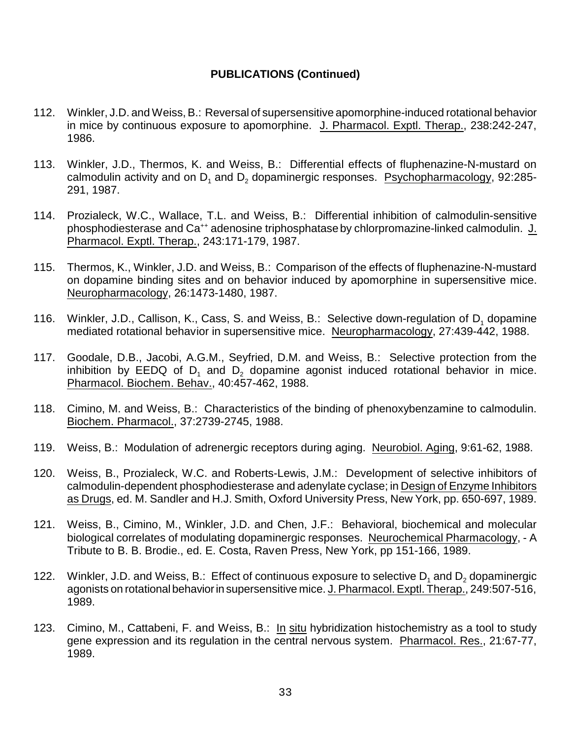- 112. Winkler, J.D. and Weiss, B.: Reversal of supersensitive apomorphine-induced rotational behavior in mice by continuous exposure to apomorphine. J. Pharmacol. Exptl. Therap., 238:242-247, 1986.
- 113. Winkler, J.D., Thermos, K. and Weiss, B.: Differential effects of fluphenazine-N-mustard on calmodulin activity and on  $D_1$  and  $D_2$  dopaminergic responses. Psychopharmacology, 92:285-291, 1987.
- 114. Prozialeck, W.C., Wallace, T.L. and Weiss, B.: Differential inhibition of calmodulin-sensitive phosphodiesterase and Ca<sup>++</sup> adenosine triphosphatase by chlorpromazine-linked calmodulin. J. Pharmacol. Exptl. Therap., 243:171-179, 1987.
- 115. Thermos, K., Winkler, J.D. and Weiss, B.: Comparison of the effects of fluphenazine-N-mustard on dopamine binding sites and on behavior induced by apomorphine in supersensitive mice. Neuropharmacology, 26:1473-1480, 1987.
- 116. Winkler, J.D., Callison, K., Cass, S. and Weiss, B.: Selective down-regulation of  $D_1$  dopamine mediated rotational behavior in supersensitive mice. Neuropharmacology, 27:439-442, 1988.
- 117. Goodale, D.B., Jacobi, A.G.M., Seyfried, D.M. and Weiss, B.: Selective protection from the inhibition by  $EEDQ$  of  $D_1$  and  $D_2$  dopamine agonist induced rotational behavior in mice. Pharmacol. Biochem. Behav., 40:457-462, 1988.
- 118. Cimino, M. and Weiss, B.: Characteristics of the binding of phenoxybenzamine to calmodulin. Biochem. Pharmacol., 37:2739-2745, 1988.
- 119. Weiss, B.: Modulation of adrenergic receptors during aging. Neurobiol. Aging, 9:61-62, 1988.
- 120. Weiss, B., Prozialeck, W.C. and Roberts-Lewis, J.M.: Development of selective inhibitors of calmodulin-dependent phosphodiesterase and adenylate cyclase; in Design of Enzyme Inhibitors as Drugs, ed. M. Sandler and H.J. Smith, Oxford University Press, New York, pp. 650-697, 1989.
- 121. Weiss, B., Cimino, M., Winkler, J.D. and Chen, J.F.: Behavioral, biochemical and molecular biological correlates of modulating dopaminergic responses. Neurochemical Pharmacology, - A Tribute to B. B. Brodie., ed. E. Costa, Raven Press, New York, pp 151-166, 1989.
- 122. Winkler, J.D. and Weiss, B.: Effect of continuous exposure to selective  $D_1$  and  $D_2$  dopaminergic agonists on rotational behavior in supersensitive mice. J. Pharmacol. Exptl. Therap., 249:507-516, 1989.
- 123. Cimino, M., Cattabeni, F. and Weiss, B.: In situ hybridization histochemistry as a tool to study gene expression and its regulation in the central nervous system. Pharmacol. Res., 21:67-77, 1989.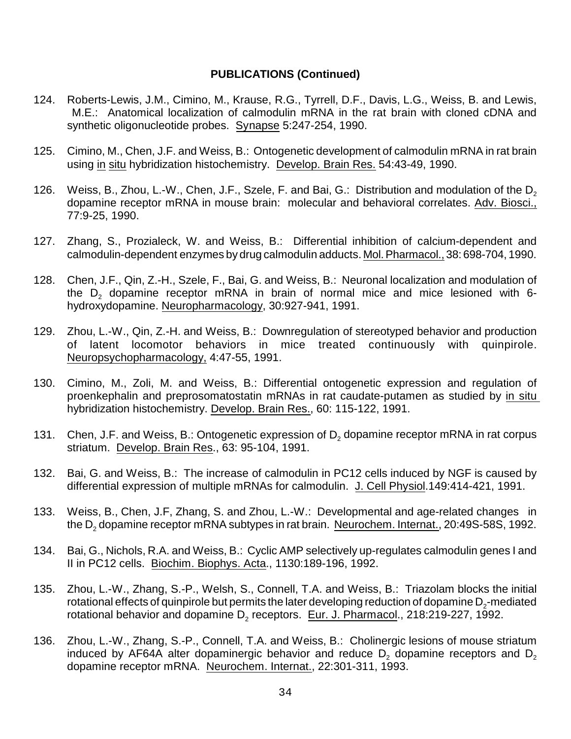- 124. Roberts-Lewis, J.M., Cimino, M., Krause, R.G., Tyrrell, D.F., Davis, L.G., Weiss, B. and Lewis, M.E.: Anatomical localization of calmodulin mRNA in the rat brain with cloned cDNA and synthetic oligonucleotide probes. Synapse 5:247-254, 1990.
- 125. Cimino, M., Chen, J.F. and Weiss, B.: Ontogenetic development of calmodulin mRNA in rat brain using in situ hybridization histochemistry. Develop. Brain Res. 54:43-49, 1990.
- 126. Weiss, B., Zhou, L.-W., Chen, J.F., Szele, F. and Bai, G.: Distribution and modulation of the  $D<sub>2</sub>$ dopamine receptor mRNA in mouse brain: molecular and behavioral correlates. Adv. Biosci., 77:9-25, 1990.
- 127. Zhang, S., Prozialeck, W. and Weiss, B.: Differential inhibition of calcium-dependent and calmodulin-dependent enzymes by drug calmodulin adducts. Mol.Pharmacol., 38: 698-704, 1990.
- 128. Chen, J.F., Qin, Z.-H., Szele, F., Bai, G. and Weiss, B.: Neuronal localization and modulation of the  $D<sub>2</sub>$  dopamine receptor mRNA in brain of normal mice and mice lesioned with 6hydroxydopamine. Neuropharmacology, 30:927-941, 1991.
- 129. Zhou, L.-W., Qin, Z.-H. and Weiss, B.: Downregulation of stereotyped behavior and production of latent locomotor behaviors in mice treated continuously with quinpirole. Neuropsychopharmacology, 4:47-55, 1991.
- 130. Cimino, M., Zoli, M. and Weiss, B.: Differential ontogenetic expression and regulation of proenkephalin and preprosomatostatin mRNAs in rat caudate-putamen as studied by in situ hybridization histochemistry. Develop. Brain Res., 60: 115-122, 1991.
- 131. Chen, J.F. and Weiss, B.: Ontogenetic expression of  $D_2$  dopamine receptor mRNA in rat corpus striatum. Develop. Brain Res., 63: 95-104, 1991.
- 132. Bai, G. and Weiss, B.: The increase of calmodulin in PC12 cells induced by NGF is caused by differential expression of multiple mRNAs for calmodulin. J. Cell Physiol.149:414-421, 1991.
- 133. Weiss, B., Chen, J.F, Zhang, S. and Zhou, L.-W.: Developmental and age-related changes in the D<sub>2</sub> dopamine receptor mRNA subtypes in rat brain. Neurochem. Internat., 20:49S-58S, 1992.
- 134. Bai, G., Nichols, R.A. and Weiss, B.: Cyclic AMP selectively up-regulates calmodulin genes I and II in PC12 cells. Biochim. Biophys. Acta., 1130:189-196, 1992.
- 135. Zhou, L.-W., Zhang, S.-P., Welsh, S., Connell, T.A. and Weiss, B.: Triazolam blocks the initial rotational effects of quinpirole but permits the later developing reduction of dopamine  $\mathsf{D}_2$ -mediated rotational behavior and dopamine D<sub>2</sub> receptors. Eur. J. Pharmacol., 218:219-227, 1992.
- 136. Zhou, L.-W., Zhang, S.-P., Connell, T.A. and Weiss, B.: Cholinergic lesions of mouse striatum induced by AF64A alter dopaminergic behavior and reduce  $D<sub>2</sub>$  dopamine receptors and  $D<sub>2</sub>$ dopamine receptor mRNA. Neurochem. Internat., 22:301-311, 1993.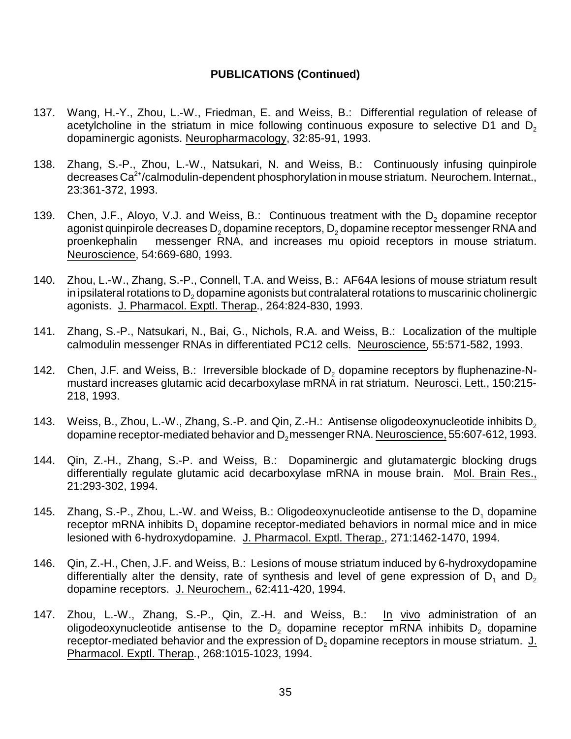- 137. Wang, H.-Y., Zhou, L.-W., Friedman, E. and Weiss, B.: Differential regulation of release of acetylcholine in the striatum in mice following continuous exposure to selective D1 and  $D<sub>2</sub>$ dopaminergic agonists. Neuropharmacology, 32:85-91, 1993.
- 138. Zhang, S.-P., Zhou, L.-W., Natsukari, N. and Weiss, B.: Continuously infusing quinpirole decreases Ca<sup>2+</sup>/calmodulin-dependent phosphorylation in mouse striatum. Neurochem. Internat., 23:361-372, 1993.
- 139. Chen, J.F., Aloyo, V.J. and Weiss, B.: Continuous treatment with the  $D<sub>2</sub>$  dopamine receptor agonist quinpirole decreases  $D_2$  dopamine receptors,  $D_2$  dopamine receptor messenger RNA and<br>proenkephalin messenger RNA, and increases mu opioid receptors in mouse striatum. messenger RNA, and increases mu opioid receptors in mouse striatum. Neuroscience, 54:669-680, 1993.
- 140. Zhou, L.-W., Zhang, S.-P., Connell, T.A. and Weiss, B.: AF64A lesions of mouse striatum result in ipsilateral rotations to  $D<sub>2</sub>$  dopamine agonists but contralateral rotations to muscarinic cholinergic agonists. J. Pharmacol. Exptl. Therap., 264:824-830, 1993.
- 141. Zhang, S.-P., Natsukari, N., Bai, G., Nichols, R.A. and Weiss, B.: Localization of the multiple calmodulin messenger RNAs in differentiated PC12 cells. Neuroscience, 55:571-582, 1993.
- 142. Chen, J.F. and Weiss, B.: Irreversible blockade of  $D<sub>2</sub>$  dopamine receptors by fluphenazine-Nmustard increases glutamic acid decarboxylase mRNA in rat striatum. Neurosci. Lett., 150:215- 218, 1993.
- 143. Weiss, B., Zhou, L.-W., Zhang, S.-P. and Qin, Z.-H.: Antisense oligodeoxynucleotide inhibits  $D_2$ dopamine receptor-mediated behavior and  $D_2$ messenger RNA. Neuroscience, 55:607-612, 1993.
- 144. Qin, Z.-H., Zhang, S.-P. and Weiss, B.: Dopaminergic and glutamatergic blocking drugs differentially regulate glutamic acid decarboxylase mRNA in mouse brain. Mol. Brain Res., 21:293-302, 1994.
- 145. Zhang, S.-P., Zhou, L.-W. and Weiss, B.: Oligodeoxynucleotide antisense to the D. dopamine receptor mRNA inhibits  $D_1$  dopamine receptor-mediated behaviors in normal mice and in mice lesioned with 6-hydroxydopamine. J. Pharmacol. Exptl. Therap., 271:1462-1470, 1994.
- 146. Qin, Z.-H., Chen, J.F. and Weiss, B.: Lesions of mouse striatum induced by 6-hydroxydopamine differentially alter the density, rate of synthesis and level of gene expression of  $D_1$  and  $D_2$ dopamine receptors. J. Neurochem., 62:411-420, 1994.
- 147. Zhou, L.-W., Zhang, S.-P., Qin, Z.-H. and Weiss, B.: In vivo administration of an oligodeoxynucleotide antisense to the  $D_2$  dopamine receptor mRNA inhibits  $D_2$  dopamine receptor-mediated behavior and the expression of  $D_2$  dopamine receptors in mouse striatum. J. Pharmacol. Exptl. Therap., 268:1015-1023, 1994.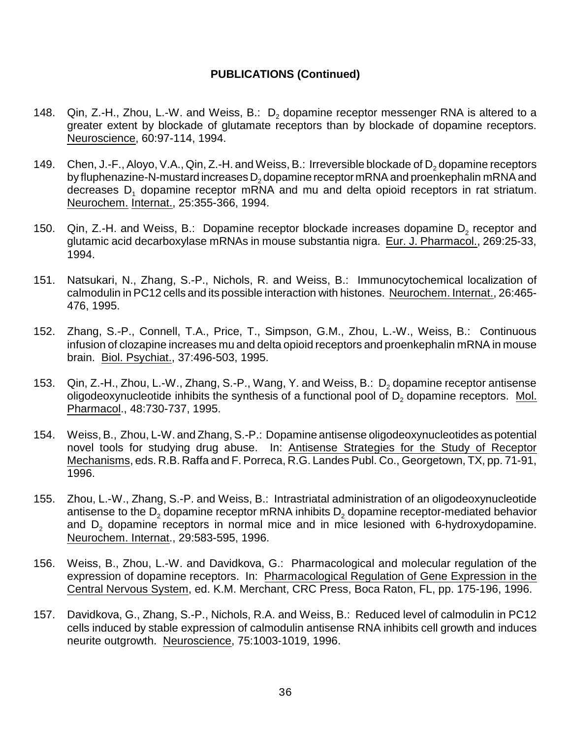- 148. Qin, Z.-H., Zhou, L.-W. and Weiss, B.:  $D_2$  dopamine receptor messenger RNA is altered to a greater extent by blockade of glutamate receptors than by blockade of dopamine receptors. Neuroscience, 60:97-114, 1994.
- 149. Chen, J.-F., Aloyo, V.A., Qin, Z.-H. and Weiss, B.: Irreversible blockade of  $D_2$  dopamine receptors by fluphenazine-N-mustard increases  $D_2$  dopamine receptor mRNA and proenkephalin mRNA and decreases  $D_1$  dopamine receptor mRNA and mu and delta opioid receptors in rat striatum. Neurochem. Internat., 25:355-366, 1994.
- 150.  $\,$  Qin, Z.-H. and Weiss, B.: Dopamine receptor blockade increases dopamine D<sub>2</sub> receptor and glutamic acid decarboxylase mRNAs in mouse substantia nigra. Eur. J. Pharmacol., 269:25-33, 1994.
- 151. Natsukari, N., Zhang, S.-P., Nichols, R. and Weiss, B.: Immunocytochemical localization of calmodulin in PC12 cells and its possible interaction with histones. Neurochem. Internat., 26:465- 476, 1995.
- 152. Zhang, S.-P., Connell, T.A., Price, T., Simpson, G.M., Zhou, L.-W., Weiss, B.: Continuous infusion of clozapine increases mu and delta opioid receptors and proenkephalin mRNA in mouse brain. Biol. Psychiat., 37:496-503, 1995.
- 153. Qin, Z.-H., Zhou, L.-W., Zhang, S.-P., Wang, Y. and Weiss, B.: D<sub>2</sub> dopamine receptor antisense oligodeoxynucleotide inhibits the synthesis of a functional pool of  $\mathsf{D}_2$  dopamine receptors.  $\sqrt{\text{Mol.}}$ Pharmacol., 48:730-737, 1995.
- 154. Weiss, B., Zhou, L-W. and Zhang, S.-P.: Dopamine antisense oligodeoxynucleotides as potential novel tools for studying drug abuse. In: Antisense Strategies for the Study of Receptor Mechanisms, eds. R.B. Raffa and F. Porreca, R.G. Landes Publ. Co., Georgetown, TX, pp. 71-91, 1996.
- 155. Zhou, L.-W., Zhang, S.-P. and Weiss, B.: Intrastriatal administration of an oligodeoxynucleotide antisense to the  $D_2$  dopamine receptor mRNA inhibits  $D_2$  dopamine receptor-mediated behavior and  $D<sub>2</sub>$  dopamine receptors in normal mice and in mice lesioned with 6-hydroxydopamine. Neurochem. Internat., 29:583-595, 1996.
- 156. Weiss, B., Zhou, L.-W. and Davidkova, G.: Pharmacological and molecular regulation of the expression of dopamine receptors. In: Pharmacological Regulation of Gene Expression in the Central Nervous System, ed. K.M. Merchant, CRC Press, Boca Raton, FL, pp. 175-196, 1996.
- 157. Davidkova, G., Zhang, S.-P., Nichols, R.A. and Weiss, B.: Reduced level of calmodulin in PC12 cells induced by stable expression of calmodulin antisense RNA inhibits cell growth and induces neurite outgrowth. Neuroscience, 75:1003-1019, 1996.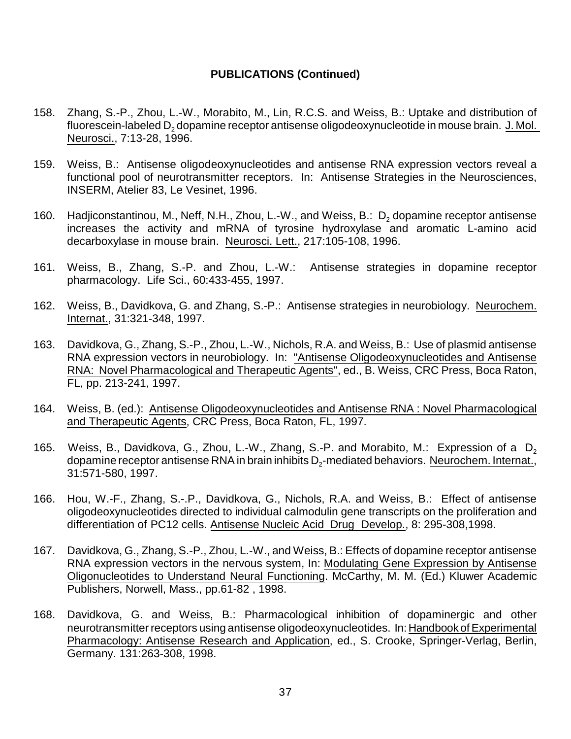- 158. Zhang, S.-P., Zhou, L.-W., Morabito, M., Lin, R.C.S. and Weiss, B.: Uptake and distribution of fluorescein-labeled D<sub>2</sub> dopamine receptor antisense oligodeoxynucleotide in mouse brain. J. Mol. Neurosci., 7:13-28, 1996.
- 159. Weiss, B.: Antisense oligodeoxynucleotides and antisense RNA expression vectors reveal a functional pool of neurotransmitter receptors. In: Antisense Strategies in the Neurosciences, INSERM, Atelier 83, Le Vesinet, 1996.
- 160. Hadjiconstantinou, M., Neff, N.H., Zhou, L.-W., and Weiss, B.: D<sub>2</sub> dopamine receptor antisense increases the activity and mRNA of tyrosine hydroxylase and aromatic L-amino acid decarboxylase in mouse brain. Neurosci. Lett., 217:105-108, 1996.
- 161. Weiss, B., Zhang, S.-P. and Zhou, L.-W.: Antisense strategies in dopamine receptor pharmacology. Life Sci., 60:433-455, 1997.
- 162. Weiss, B., Davidkova, G. and Zhang, S.-P.: Antisense strategies in neurobiology. Neurochem. Internat., 31:321-348, 1997.
- 163. Davidkova, G., Zhang, S.-P., Zhou, L.-W., Nichols, R.A. and Weiss, B.: Use of plasmid antisense RNA expression vectors in neurobiology. In: "Antisense Oligodeoxynucleotides and Antisense RNA: Novel Pharmacological and Therapeutic Agents", ed., B. Weiss, CRC Press, Boca Raton, FL, pp. 213-241, 1997.
- 164. Weiss, B. (ed.): Antisense Oligodeoxynucleotides and Antisense RNA : Novel Pharmacological and Therapeutic Agents, CRC Press, Boca Raton, FL, 1997.
- 165. Weiss, B., Davidkova, G., Zhou, L.-W., Zhang, S.-P. and Morabito, M.: Expression of a  $D<sub>2</sub>$ dopamine receptor antisense RNA in brain inhibits D<sub>2</sub>-mediated behaviors. <u>Neurochem. Internat.,</u> 31:571-580, 1997.
- 166. Hou, W.-F., Zhang, S.-.P., Davidkova, G., Nichols, R.A. and Weiss, B.: Effect of antisense oligodeoxynucleotides directed to individual calmodulin gene transcripts on the proliferation and differentiation of PC12 cells. Antisense Nucleic Acid Drug Develop., 8: 295-308,1998.
- 167. Davidkova, G., Zhang, S.-P., Zhou, L.-W., and Weiss, B.: Effects of dopamine receptor antisense RNA expression vectors in the nervous system, In: Modulating Gene Expression by Antisense Oligonucleotides to Understand Neural Functioning. McCarthy, M. M. (Ed.) Kluwer Academic Publishers, Norwell, Mass., pp.61-82 , 1998.
- 168. Davidkova, G. and Weiss, B.: Pharmacological inhibition of dopaminergic and other neurotransmitter receptors using antisense oligodeoxynucleotides. In: Handbook of Experimental Pharmacology: Antisense Research and Application, ed., S. Crooke, Springer-Verlag, Berlin, Germany. 131:263-308, 1998.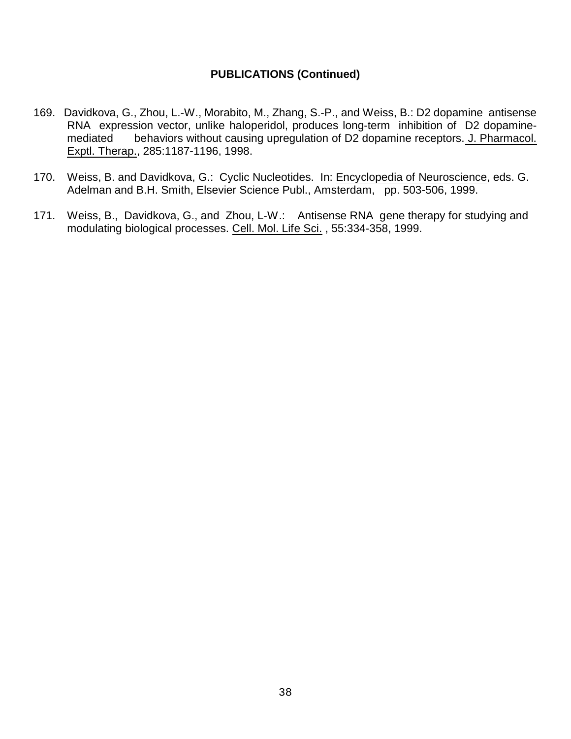- 169. Davidkova, G., Zhou, L.-W., Morabito, M., Zhang, S.-P., and Weiss, B.: D2 dopamine antisense RNA expression vector, unlike haloperidol, produces long-term inhibition of D2 dopaminemediated behaviors without causing upregulation of D2 dopamine receptors. J. Pharmacol. Exptl. Therap., 285:1187-1196, 1998.
- 170. Weiss, B. and Davidkova, G.: Cyclic Nucleotides. In: Encyclopedia of Neuroscience, eds. G. Adelman and B.H. Smith, Elsevier Science Publ., Amsterdam, pp. 503-506, 1999.
- 171. Weiss, B., Davidkova, G., and Zhou, L-W.: Antisense RNA gene therapy for studying and modulating biological processes. Cell. Mol. Life Sci. , 55:334-358, 1999.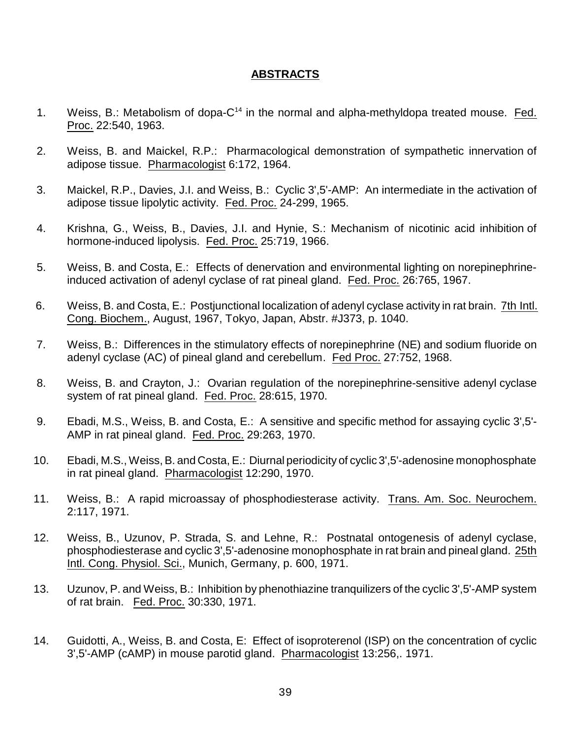#### **ABSTRACTS**

- 1. Weiss, B.: Metabolism of dopa-C<sup>14</sup> in the normal and alpha-methyldopa treated mouse. Fed. Proc. 22:540, 1963.
- 2. Weiss, B. and Maickel, R.P.: Pharmacological demonstration of sympathetic innervation of adipose tissue. Pharmacologist 6:172, 1964.
- 3. Maickel, R.P., Davies, J.I. and Weiss, B.: Cyclic 3',5'-AMP: An intermediate in the activation of adipose tissue lipolytic activity. Fed. Proc. 24-299, 1965.
- 4. Krishna, G., Weiss, B., Davies, J.I. and Hynie, S.: Mechanism of nicotinic acid inhibition of hormone-induced lipolysis. Fed. Proc. 25:719, 1966.
- 5. Weiss, B. and Costa, E.: Effects of denervation and environmental lighting on norepinephrineinduced activation of adenyl cyclase of rat pineal gland. Fed. Proc. 26:765, 1967.
- 6. Weiss, B. and Costa, E.: Postjunctional localization of adenyl cyclase activity in rat brain. 7th Intl. Cong. Biochem., August, 1967, Tokyo, Japan, Abstr. #J373, p. 1040.
- 7. Weiss, B.: Differences in the stimulatory effects of norepinephrine (NE) and sodium fluoride on adenyl cyclase (AC) of pineal gland and cerebellum. Fed Proc. 27:752, 1968.
- 8. Weiss, B. and Crayton, J.: Ovarian regulation of the norepinephrine-sensitive adenyl cyclase system of rat pineal gland. Fed. Proc. 28:615, 1970.
- 9. Ebadi, M.S., Weiss, B. and Costa, E.: A sensitive and specific method for assaying cyclic 3',5'- AMP in rat pineal gland. Fed. Proc. 29:263, 1970.
- 10. Ebadi, M.S., Weiss, B. and Costa, E.: Diurnal periodicity of cyclic 3',5'-adenosine monophosphate in rat pineal gland. Pharmacologist 12:290, 1970.
- 11. Weiss, B.: A rapid microassay of phosphodiesterase activity. Trans. Am. Soc. Neurochem. 2:117, 1971.
- 12. Weiss, B., Uzunov, P. Strada, S. and Lehne, R.: Postnatal ontogenesis of adenyl cyclase, phosphodiesterase and cyclic 3',5'-adenosine monophosphate in rat brain and pineal gland. 25th Intl. Cong. Physiol. Sci., Munich, Germany, p. 600, 1971.
- 13. Uzunov, P. and Weiss, B.: Inhibition by phenothiazine tranquilizers of the cyclic 3',5'-AMP system of rat brain. Fed. Proc. 30:330, 1971.
- 14. Guidotti, A., Weiss, B. and Costa, E: Effect of isoproterenol (ISP) on the concentration of cyclic 3',5'-AMP (cAMP) in mouse parotid gland. Pharmacologist 13:256,. 1971.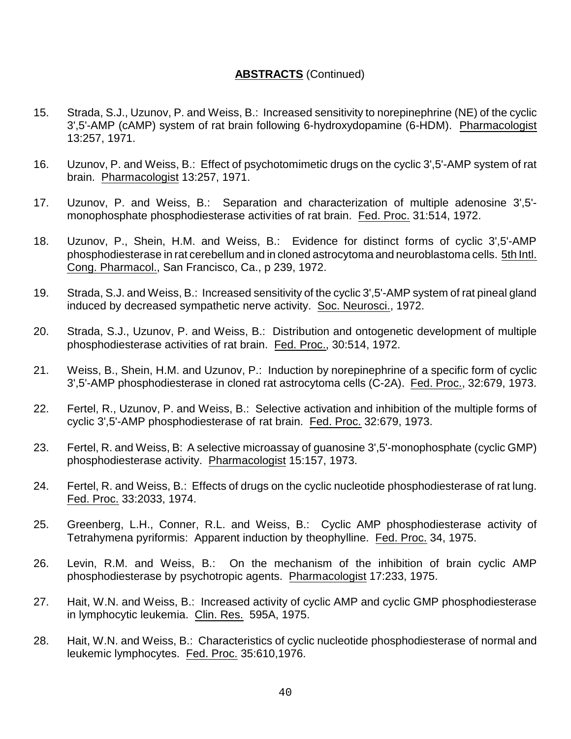- 15. Strada, S.J., Uzunov, P. and Weiss, B.: Increased sensitivity to norepinephrine (NE) of the cyclic 3',5'-AMP (cAMP) system of rat brain following 6-hydroxydopamine (6-HDM). Pharmacologist 13:257, 1971.
- 16. Uzunov, P. and Weiss, B.: Effect of psychotomimetic drugs on the cyclic 3',5'-AMP system of rat brain. Pharmacologist 13:257, 1971.
- 17. Uzunov, P. and Weiss, B.: Separation and characterization of multiple adenosine 3',5' monophosphate phosphodiesterase activities of rat brain. Fed. Proc. 31:514, 1972.
- 18. Uzunov, P., Shein, H.M. and Weiss, B.: Evidence for distinct forms of cyclic 3',5'-AMP phosphodiesterase in rat cerebellum and in cloned astrocytoma and neuroblastoma cells. 5th Intl. Cong. Pharmacol., San Francisco, Ca., p 239, 1972.
- 19. Strada, S.J. and Weiss, B.: Increased sensitivity of the cyclic 3',5'-AMP system of rat pineal gland induced by decreased sympathetic nerve activity. Soc. Neurosci., 1972.
- 20. Strada, S.J., Uzunov, P. and Weiss, B.: Distribution and ontogenetic development of multiple phosphodiesterase activities of rat brain. Fed. Proc., 30:514, 1972.
- 21. Weiss, B., Shein, H.M. and Uzunov, P.: Induction by norepinephrine of a specific form of cyclic 3',5'-AMP phosphodiesterase in cloned rat astrocytoma cells (C-2A). Fed. Proc., 32:679, 1973.
- 22. Fertel, R., Uzunov, P. and Weiss, B.: Selective activation and inhibition of the multiple forms of cyclic 3',5'-AMP phosphodiesterase of rat brain. Fed. Proc. 32:679, 1973.
- 23. Fertel, R. and Weiss, B: A selective microassay of guanosine 3',5'-monophosphate (cyclic GMP) phosphodiesterase activity. Pharmacologist 15:157, 1973.
- 24. Fertel, R. and Weiss, B.: Effects of drugs on the cyclic nucleotide phosphodiesterase of rat lung. Fed. Proc. 33:2033, 1974.
- 25. Greenberg, L.H., Conner, R.L. and Weiss, B.: Cyclic AMP phosphodiesterase activity of Tetrahymena pyriformis: Apparent induction by theophylline. Fed. Proc. 34, 1975.
- 26. Levin, R.M. and Weiss, B.: On the mechanism of the inhibition of brain cyclic AMP phosphodiesterase by psychotropic agents. Pharmacologist 17:233, 1975.
- 27. Hait, W.N. and Weiss, B.: Increased activity of cyclic AMP and cyclic GMP phosphodiesterase in lymphocytic leukemia. Clin. Res. 595A, 1975.
- 28. Hait, W.N. and Weiss, B.: Characteristics of cyclic nucleotide phosphodiesterase of normal and leukemic lymphocytes. Fed. Proc. 35:610,1976.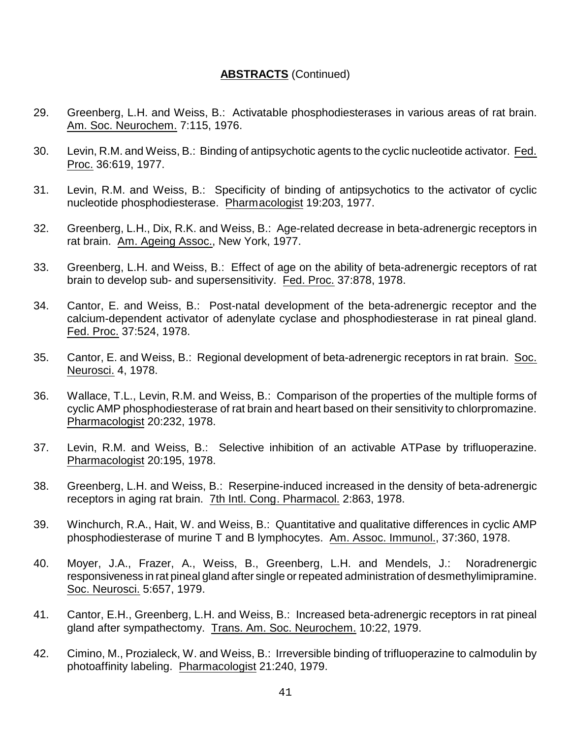- 29. Greenberg, L.H. and Weiss, B.: Activatable phosphodiesterases in various areas of rat brain. Am. Soc. Neurochem. 7:115, 1976.
- 30. Levin, R.M. and Weiss, B.: Binding of antipsychotic agents to the cyclic nucleotide activator. Fed. Proc. 36:619, 1977.
- 31. Levin, R.M. and Weiss, B.: Specificity of binding of antipsychotics to the activator of cyclic nucleotide phosphodiesterase. Pharmacologist 19:203, 1977.
- 32. Greenberg, L.H., Dix, R.K. and Weiss, B.: Age-related decrease in beta-adrenergic receptors in rat brain. Am. Ageing Assoc., New York, 1977.
- 33. Greenberg, L.H. and Weiss, B.: Effect of age on the ability of beta-adrenergic receptors of rat brain to develop sub- and supersensitivity. Fed. Proc. 37:878, 1978.
- 34. Cantor, E. and Weiss, B.: Post-natal development of the beta-adrenergic receptor and the calcium-dependent activator of adenylate cyclase and phosphodiesterase in rat pineal gland. Fed. Proc. 37:524, 1978.
- 35. Cantor, E. and Weiss, B.: Regional development of beta-adrenergic receptors in rat brain. Soc. Neurosci. 4, 1978.
- 36. Wallace, T.L., Levin, R.M. and Weiss, B.: Comparison of the properties of the multiple forms of cyclic AMP phosphodiesterase of rat brain and heart based on their sensitivity to chlorpromazine. Pharmacologist 20:232, 1978.
- 37. Levin, R.M. and Weiss, B.: Selective inhibition of an activable ATPase by trifluoperazine. Pharmacologist 20:195, 1978.
- 38. Greenberg, L.H. and Weiss, B.: Reserpine-induced increased in the density of beta-adrenergic receptors in aging rat brain. 7th Intl. Cong. Pharmacol. 2:863, 1978.
- 39. Winchurch, R.A., Hait, W. and Weiss, B.: Quantitative and qualitative differences in cyclic AMP phosphodiesterase of murine T and B lymphocytes. Am. Assoc. Immunol., 37:360, 1978.
- 40. Moyer, J.A., Frazer, A., Weiss, B., Greenberg, L.H. and Mendels, J.: Noradrenergic responsiveness in rat pineal gland after single or repeated administration of desmethylimipramine. Soc. Neurosci. 5:657, 1979.
- 41. Cantor, E.H., Greenberg, L.H. and Weiss, B.: Increased beta-adrenergic receptors in rat pineal gland after sympathectomy. Trans. Am. Soc. Neurochem. 10:22, 1979.
- 42. Cimino, M., Prozialeck, W. and Weiss, B.: Irreversible binding of trifluoperazine to calmodulin by photoaffinity labeling. Pharmacologist 21:240, 1979.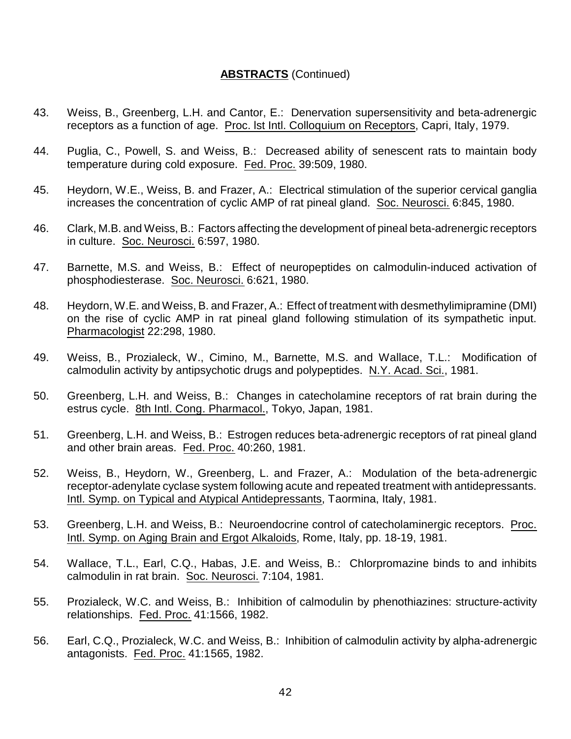- 43. Weiss, B., Greenberg, L.H. and Cantor, E.: Denervation supersensitivity and beta-adrenergic receptors as a function of age. Proc. lst Intl. Colloquium on Receptors, Capri, Italy, 1979.
- 44. Puglia, C., Powell, S. and Weiss, B.: Decreased ability of senescent rats to maintain body temperature during cold exposure. Fed. Proc. 39:509, 1980.
- 45. Heydorn, W.E., Weiss, B. and Frazer, A.: Electrical stimulation of the superior cervical ganglia increases the concentration of cyclic AMP of rat pineal gland. Soc. Neurosci. 6:845, 1980.
- 46. Clark, M.B. and Weiss, B.: Factors affecting the development of pineal beta-adrenergic receptors in culture. Soc. Neurosci. 6:597, 1980.
- 47. Barnette, M.S. and Weiss, B.: Effect of neuropeptides on calmodulin-induced activation of phosphodiesterase. Soc. Neurosci. 6:621, 1980.
- 48. Heydorn, W.E. and Weiss, B. and Frazer, A.: Effect of treatment with desmethylimipramine (DMI) on the rise of cyclic AMP in rat pineal gland following stimulation of its sympathetic input. Pharmacologist 22:298, 1980.
- 49. Weiss, B., Prozialeck, W., Cimino, M., Barnette, M.S. and Wallace, T.L.: Modification of calmodulin activity by antipsychotic drugs and polypeptides. N.Y. Acad. Sci., 1981.
- 50. Greenberg, L.H. and Weiss, B.: Changes in catecholamine receptors of rat brain during the estrus cycle. 8th Intl. Cong. Pharmacol., Tokyo, Japan, 1981.
- 51. Greenberg, L.H. and Weiss, B.: Estrogen reduces beta-adrenergic receptors of rat pineal gland and other brain areas. Fed. Proc. 40:260, 1981.
- 52. Weiss, B., Heydorn, W., Greenberg, L. and Frazer, A.: Modulation of the beta-adrenergic receptor-adenylate cyclase system following acute and repeated treatment with antidepressants. Intl. Symp. on Typical and Atypical Antidepressants, Taormina, Italy, 1981.
- 53. Greenberg, L.H. and Weiss, B.: Neuroendocrine control of catecholaminergic receptors. Proc. Intl. Symp. on Aging Brain and Ergot Alkaloids, Rome, Italy, pp. 18-19, 1981.
- 54. Wallace, T.L., Earl, C.Q., Habas, J.E. and Weiss, B.: Chlorpromazine binds to and inhibits calmodulin in rat brain. Soc. Neurosci. 7:104, 1981.
- 55. Prozialeck, W.C. and Weiss, B.: Inhibition of calmodulin by phenothiazines: structure-activity relationships. Fed. Proc. 41:1566, 1982.
- 56. Earl, C.Q., Prozialeck, W.C. and Weiss, B.: Inhibition of calmodulin activity by alpha-adrenergic antagonists. Fed. Proc. 41:1565, 1982.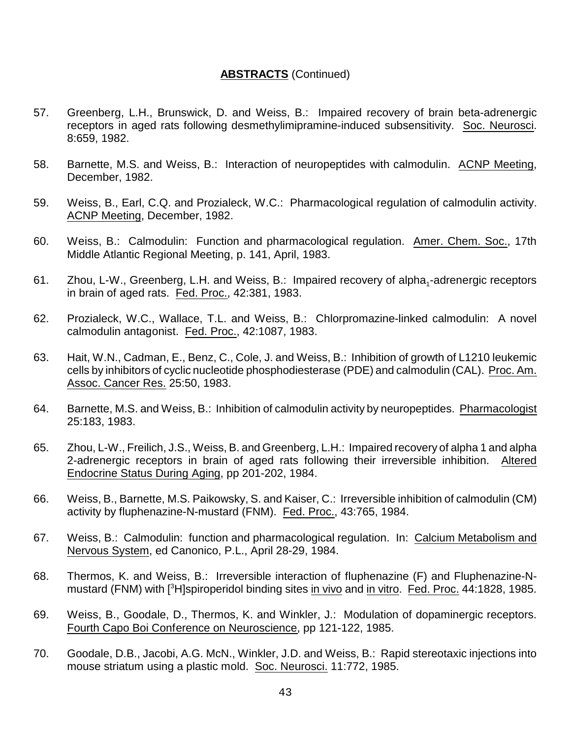- 57. Greenberg, L.H., Brunswick, D. and Weiss, B.: Impaired recovery of brain beta-adrenergic receptors in aged rats following desmethylimipramine-induced subsensitivity. Soc. Neurosci. 8:659, 1982.
- 58. Barnette, M.S. and Weiss, B.: Interaction of neuropeptides with calmodulin. ACNP Meeting, December, 1982.
- 59. Weiss, B., Earl, C.Q. and Prozialeck, W.C.: Pharmacological regulation of calmodulin activity. ACNP Meeting, December, 1982.
- 60. Weiss, B.: Calmodulin: Function and pharmacological regulation. Amer. Chem. Soc., 17th Middle Atlantic Regional Meeting, p. 141, April, 1983.
- 61. Zhou, L-W., Greenberg, L.H. and Weiss, B.: Impaired recovery of alpha<sub>1</sub>-adrenergic receptors in brain of aged rats. Fed. Proc., 42:381, 1983.
- 62. Prozialeck, W.C., Wallace, T.L. and Weiss, B.: Chlorpromazine-linked calmodulin: A novel calmodulin antagonist. Fed. Proc., 42:1087, 1983.
- 63. Hait, W.N., Cadman, E., Benz, C., Cole, J. and Weiss, B.: Inhibition of growth of L1210 leukemic cells by inhibitors of cyclic nucleotide phosphodiesterase (PDE) and calmodulin (CAL). Proc. Am. Assoc. Cancer Res. 25:50, 1983.
- 64. Barnette, M.S. and Weiss, B.: Inhibition of calmodulin activity by neuropeptides. Pharmacologist 25:183, 1983.
- 65. Zhou, L-W., Freilich, J.S., Weiss, B. and Greenberg, L.H.: Impaired recovery of alpha 1 and alpha 2-adrenergic receptors in brain of aged rats following their irreversible inhibition. Altered Endocrine Status During Aging, pp 201-202, 1984.
- 66. Weiss, B., Barnette, M.S. Paikowsky, S. and Kaiser, C.: Irreversible inhibition of calmodulin (CM) activity by fluphenazine-N-mustard (FNM). Fed. Proc., 43:765, 1984.
- 67. Weiss, B.: Calmodulin: function and pharmacological regulation. In: Calcium Metabolism and Nervous System, ed Canonico, P.L., April 28-29, 1984.
- 68. Thermos, K. and Weiss, B.: Irreversible interaction of fluphenazine (F) and Fluphenazine-Nmustard (FNM) with [<sup>3</sup>H]spiroperidol binding sites in vivo and in vitro. Fed. Proc. 44:1828, 1985.
- 69. Weiss, B., Goodale, D., Thermos, K. and Winkler, J.: Modulation of dopaminergic receptors. Fourth Capo Boi Conference on Neuroscience, pp 121-122, 1985.
- 70. Goodale, D.B., Jacobi, A.G. McN., Winkler, J.D. and Weiss, B.: Rapid stereotaxic injections into mouse striatum using a plastic mold. Soc. Neurosci. 11:772, 1985.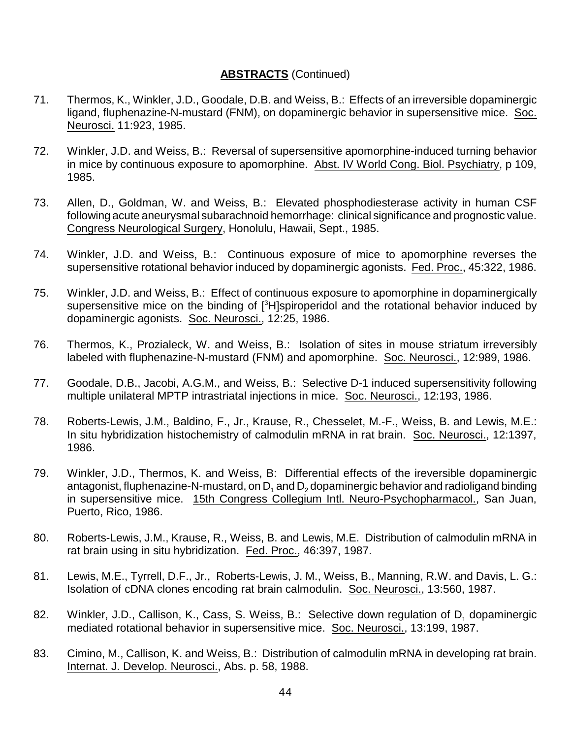- 71. Thermos, K., Winkler, J.D., Goodale, D.B. and Weiss, B.: Effects of an irreversible dopaminergic ligand, fluphenazine-N-mustard (FNM), on dopaminergic behavior in supersensitive mice. Soc. Neurosci. 11:923, 1985.
- 72. Winkler, J.D. and Weiss, B.: Reversal of supersensitive apomorphine-induced turning behavior in mice by continuous exposure to apomorphine. Abst. IV World Cong. Biol. Psychiatry, p 109, 1985.
- 73. Allen, D., Goldman, W. and Weiss, B.: Elevated phosphodiesterase activity in human CSF following acute aneurysmal subarachnoid hemorrhage: clinical significance and prognostic value. Congress Neurological Surgery, Honolulu, Hawaii, Sept., 1985.
- 74. Winkler, J.D. and Weiss, B.: Continuous exposure of mice to apomorphine reverses the supersensitive rotational behavior induced by dopaminergic agonists. Fed. Proc., 45:322, 1986.
- 75. Winkler, J.D. and Weiss, B.: Effect of continuous exposure to apomorphine in dopaminergically supersensitive mice on the binding of [<sup>3</sup>H]spiroperidol and the rotational behavior induced by dopaminergic agonists. Soc. Neurosci., 12:25, 1986.
- 76. Thermos, K., Prozialeck, W. and Weiss, B.: Isolation of sites in mouse striatum irreversibly labeled with fluphenazine-N-mustard (FNM) and apomorphine. Soc. Neurosci., 12:989, 1986.
- 77. Goodale, D.B., Jacobi, A.G.M., and Weiss, B.: Selective D-1 induced supersensitivity following multiple unilateral MPTP intrastriatal injections in mice. Soc. Neurosci., 12:193, 1986.
- 78. Roberts-Lewis, J.M., Baldino, F., Jr., Krause, R., Chesselet, M.-F., Weiss, B. and Lewis, M.E.: In situ hybridization histochemistry of calmodulin mRNA in rat brain. Soc. Neurosci., 12:1397, 1986.
- 79. Winkler, J.D., Thermos, K. and Weiss, B: Differential effects of the ireversible dopaminergic antagonist, fluphenazine-N-mustard, on  $D_1$  and  $D_2$  dopaminergic behavior and radioligand binding in supersensitive mice. 15th Congress Collegium Intl. Neuro-Psychopharmacol., San Juan, Puerto, Rico, 1986.
- 80. Roberts-Lewis, J.M., Krause, R., Weiss, B. and Lewis, M.E. Distribution of calmodulin mRNA in rat brain using in situ hybridization. Fed. Proc., 46:397, 1987.
- 81. Lewis, M.E., Tyrrell, D.F., Jr., Roberts-Lewis, J. M., Weiss, B., Manning, R.W. and Davis, L. G.: Isolation of cDNA clones encoding rat brain calmodulin. Soc. Neurosci., 13:560, 1987.
- 82. Winkler, J.D., Callison, K., Cass, S. Weiss, B.: Selective down regulation of D<sub>1</sub> dopaminergic mediated rotational behavior in supersensitive mice. Soc. Neurosci., 13:199, 1987.
- 83. Cimino, M., Callison, K. and Weiss, B.: Distribution of calmodulin mRNA in developing rat brain. Internat. J. Develop. Neurosci., Abs. p. 58, 1988.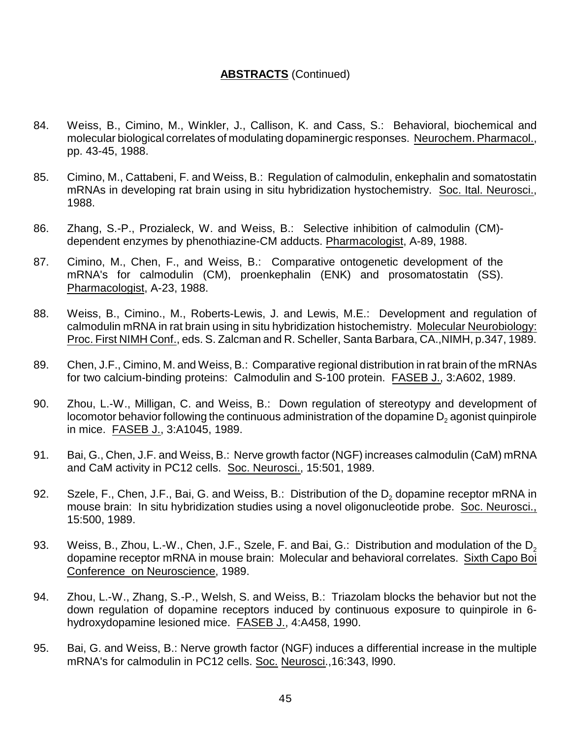- 84. Weiss, B., Cimino, M., Winkler, J., Callison, K. and Cass, S.: Behavioral, biochemical and molecular biological correlates of modulating dopaminergic responses. Neurochem. Pharmacol., pp. 43-45, 1988.
- 85. Cimino, M., Cattabeni, F. and Weiss, B.: Regulation of calmodulin, enkephalin and somatostatin mRNAs in developing rat brain using in situ hybridization hystochemistry. Soc. Ital. Neurosci., 1988.
- 86. Zhang, S.-P., Prozialeck, W. and Weiss, B.: Selective inhibition of calmodulin (CM) dependent enzymes by phenothiazine-CM adducts. Pharmacologist, A-89, 1988.
- 87. Cimino, M., Chen, F., and Weiss, B.: Comparative ontogenetic development of the mRNA's for calmodulin (CM), proenkephalin (ENK) and prosomatostatin (SS). Pharmacologist, A-23, 1988.
- 88. Weiss, B., Cimino., M., Roberts-Lewis, J. and Lewis, M.E.: Development and regulation of calmodulin mRNA in rat brain using in situ hybridization histochemistry. Molecular Neurobiology: Proc. First NIMH Conf., eds. S. Zalcman and R. Scheller, Santa Barbara, CA.,NIMH, p.347, 1989.
- 89. Chen, J.F., Cimino, M. and Weiss, B.: Comparative regional distribution in rat brain of the mRNAs for two calcium-binding proteins: Calmodulin and S-100 protein. FASEB J., 3:A602, 1989.
- 90. Zhou, L.-W., Milligan, C. and Weiss, B.: Down regulation of stereotypy and development of locomotor behavior following the continuous administration of the dopamine  $D<sub>2</sub>$  agonist quinpirole in mice. FASEB J., 3:A1045, 1989.
- 91. Bai, G., Chen, J.F. and Weiss, B.: Nerve growth factor (NGF) increases calmodulin (CaM) mRNA and CaM activity in PC12 cells. Soc. Neurosci., 15:501, 1989.
- 92. Szele, F., Chen, J.F., Bai, G. and Weiss, B.: Distribution of the  $D<sub>2</sub>$  dopamine receptor mRNA in mouse brain: In situ hybridization studies using a novel oligonucleotide probe. Soc. Neurosci., 15:500, 1989.
- 93. Weiss, B., Zhou, L.-W., Chen, J.F., Szele, F. and Bai, G.: Distribution and modulation of the D<sub>2</sub> dopamine receptor mRNA in mouse brain: Molecular and behavioral correlates. Sixth Capo Boi Conference on Neuroscience, 1989.
- 94. Zhou, L.-W., Zhang, S.-P., Welsh, S. and Weiss, B.: Triazolam blocks the behavior but not the down regulation of dopamine receptors induced by continuous exposure to quinpirole in 6 hydroxydopamine lesioned mice. FASEB J., 4:A458, 1990.
- 95. Bai, G. and Weiss, B.: Nerve growth factor (NGF) induces a differential increase in the multiple mRNA's for calmodulin in PC12 cells. Soc. Neurosci.,16:343, l990.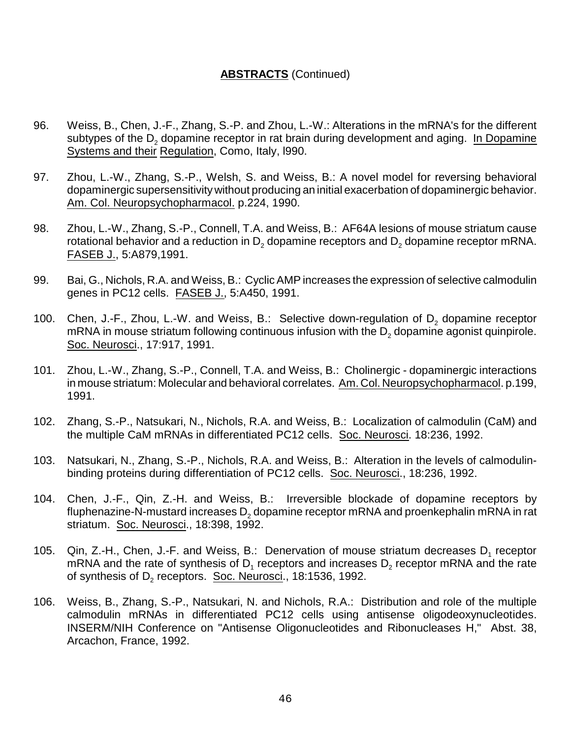- 96. Weiss, B., Chen, J.-F., Zhang, S.-P. and Zhou, L.-W.: Alterations in the mRNA's for the different subtypes of the  $D<sub>2</sub>$  dopamine receptor in rat brain during development and aging. In Dopamine Systems and their Regulation, Como, Italy, l990.
- 97. Zhou, L.-W., Zhang, S.-P., Welsh, S. and Weiss, B.: A novel model for reversing behavioral dopaminergic supersensitivity without producing an initial exacerbation of dopaminergic behavior. Am. Col. Neuropsychopharmacol. p.224, 1990.
- 98. Zhou, L.-W., Zhang, S.-P., Connell, T.A. and Weiss, B.: AF64A lesions of mouse striatum cause rotational behavior and a reduction in  $D_2$  dopamine receptors and  $D_2$  dopamine receptor mRNA. FASEB J., 5:A879,1991.
- 99. Bai, G., Nichols, R.A. and Weiss, B.: Cyclic AMP increases the expression of selective calmodulin genes in PC12 cells. FASEB J., 5:A450, 1991.
- 100. Chen, J.-F., Zhou, L.-W. and Weiss, B.: Selective down-regulation of  $D_2$  dopamine receptor mRNA in mouse striatum following continuous infusion with the  $D<sub>2</sub>$  dopamine agonist quinpirole. Soc. Neurosci., 17:917, 1991.
- 101. Zhou, L.-W., Zhang, S.-P., Connell, T.A. and Weiss, B.: Cholinergic dopaminergic interactions in mouse striatum: Molecular and behavioral correlates. Am. Col. Neuropsychopharmacol. p.199, 1991.
- 102. Zhang, S.-P., Natsukari, N., Nichols, R.A. and Weiss, B.: Localization of calmodulin (CaM) and the multiple CaM mRNAs in differentiated PC12 cells. Soc. Neurosci. 18:236, 1992.
- 103. Natsukari, N., Zhang, S.-P., Nichols, R.A. and Weiss, B.: Alteration in the levels of calmodulinbinding proteins during differentiation of PC12 cells. Soc. Neurosci., 18:236, 1992.
- 104. Chen, J.-F., Qin, Z.-H. and Weiss, B.: Irreversible blockade of dopamine receptors by fluphenazine-N-mustard increases  $D<sub>2</sub>$  dopamine receptor mRNA and proenkephalin mRNA in rat striatum. Soc. Neurosci., 18:398, 1992.
- 105.  $\,$  Qin, Z.-H., Chen, J.-F. and Weiss, B.: Denervation of mouse striatum decreases D<sub>1</sub> receptor mRNA and the rate of synthesis of D<sub>1</sub> receptors and increases D<sub>2</sub> receptor mRNA and the rate of synthesis of D<sub>2</sub> receptors. <u>Soc. Neurosci</u>., 18:1536, 1992.
- 106. Weiss, B., Zhang, S.-P., Natsukari, N. and Nichols, R.A.: Distribution and role of the multiple calmodulin mRNAs in differentiated PC12 cells using antisense oligodeoxynucleotides. INSERM/NIH Conference on "Antisense Oligonucleotides and Ribonucleases H," Abst. 38, Arcachon, France, 1992.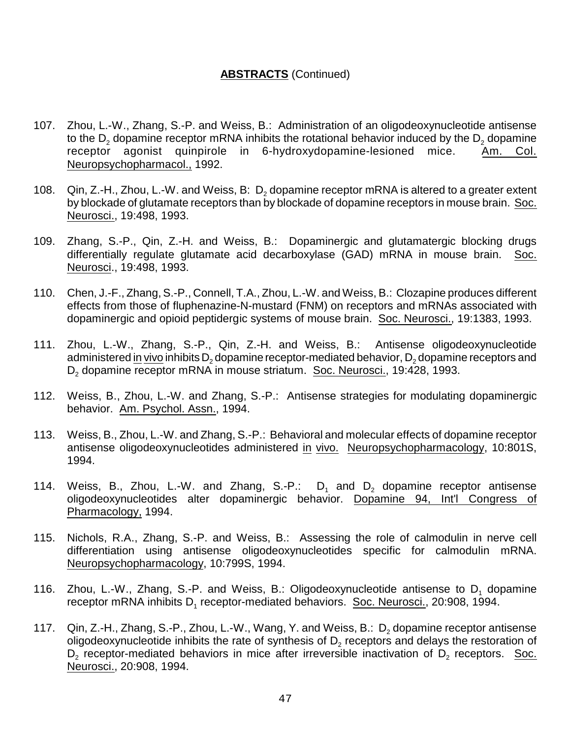- 107. Zhou, L.-W., Zhang, S.-P. and Weiss, B.: Administration of an oligodeoxynucleotide antisense to the  $D_2$  dopamine receptor mRNA inhibits the rotational behavior induced by the  $D_2$  dopamine receptor agonist quinpirole in 6-hydroxydopamine-lesioned mice. Am. Col. receptor agonist quinpirole in 6-hydroxydopamine-lesioned mice. Neuropsychopharmacol., 1992.
- 108. Qin, Z.-H., Zhou, L.-W. and Weiss, B:  $D<sub>2</sub>$  dopamine receptor mRNA is altered to a greater extent by blockade of glutamate receptors than by blockade of dopamine receptors in mouse brain. Soc. Neurosci., 19:498, 1993.
- 109. Zhang, S.-P., Qin, Z.-H. and Weiss, B.: Dopaminergic and glutamatergic blocking drugs differentially regulate glutamate acid decarboxylase (GAD) mRNA in mouse brain. Soc. Neurosci., 19:498, 1993.
- 110. Chen, J.-F., Zhang, S.-P., Connell, T.A., Zhou, L.-W. and Weiss, B.: Clozapine produces different effects from those of fluphenazine-N-mustard (FNM) on receptors and mRNAs associated with dopaminergic and opioid peptidergic systems of mouse brain. Soc. Neurosci., 19:1383, 1993.
- 111. Zhou, L.-W., Zhang, S.-P., Qin, Z.-H. and Weiss, B.: Antisense oligodeoxynucleotide administered in vivo inhibits  $D_2$  dopamine receptor-mediated behavior,  $D_2$  dopamine receptors and D<sub>2</sub> dopamine receptor mRNA in mouse striatum. Soc. Neurosci., 19:428, 1993.
- 112. Weiss, B., Zhou, L.-W. and Zhang, S.-P.: Antisense strategies for modulating dopaminergic behavior. Am. Psychol. Assn., 1994.
- 113. Weiss, B., Zhou, L.-W. and Zhang, S.-P.: Behavioral and molecular effects of dopamine receptor antisense oligodeoxynucleotides administered in vivo. Neuropsychopharmacology, 10:801S, 1994.
- 114. Weiss, B., Zhou, L.-W. and Zhang, S.-P.:  $D_1$  and  $D_2$  dopamine receptor antisense oligodeoxynucleotides alter dopaminergic behavior. Dopamine 94, Int'l Congress of Pharmacology, 1994.
- 115. Nichols, R.A., Zhang, S.-P. and Weiss, B.: Assessing the role of calmodulin in nerve cell differentiation using antisense oligodeoxynucleotides specific for calmodulin mRNA. Neuropsychopharmacology, 10:799S, 1994.
- 116. Zhou, L.-W., Zhang, S.-P. and Weiss, B.: Oligodeoxynucleotide antisense to  $D_1$  dopamine receptor mRNA inhibits D<sub>1</sub> receptor-mediated behaviors. Soc. Neurosci., 20:908, 1994.
- 117. Qin, Z.-H., Zhang, S.-P., Zhou, L.-W., Wang, Y. and Weiss, B.:  $D_2$  dopamine receptor antisense oligodeoxynucleotide inhibits the rate of synthesis of  $\mathsf{D}_2$  receptors and delays the restoration of  $D_2$  receptor-mediated behaviors in mice after irreversible inactivation of  $D_2$  receptors. Soc. Neurosci., 20:908, 1994.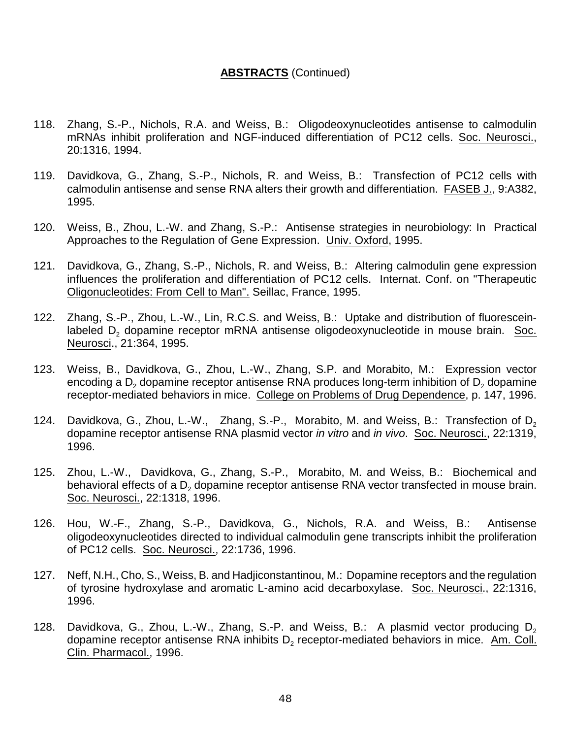- 118. Zhang, S.-P., Nichols, R.A. and Weiss, B.: Oligodeoxynucleotides antisense to calmodulin mRNAs inhibit proliferation and NGF-induced differentiation of PC12 cells. Soc. Neurosci., 20:1316, 1994.
- 119. Davidkova, G., Zhang, S.-P., Nichols, R. and Weiss, B.: Transfection of PC12 cells with calmodulin antisense and sense RNA alters their growth and differentiation. FASEB J., 9:A382, 1995.
- 120. Weiss, B., Zhou, L.-W. and Zhang, S.-P.: Antisense strategies in neurobiology: In Practical Approaches to the Regulation of Gene Expression. Univ. Oxford, 1995.
- 121. Davidkova, G., Zhang, S.-P., Nichols, R. and Weiss, B.: Altering calmodulin gene expression influences the proliferation and differentiation of PC12 cells. Internat. Conf. on "Therapeutic Oligonucleotides: From Cell to Man". Seillac, France, 1995.
- 122. Zhang, S.-P., Zhou, L.-W., Lin, R.C.S. and Weiss, B.: Uptake and distribution of fluoresceinlabeled  $D<sub>2</sub>$  dopamine receptor mRNA antisense oligodeoxynucleotide in mouse brain. Soc. Neurosci., 21:364, 1995.
- 123. Weiss, B., Davidkova, G., Zhou, L.-W., Zhang, S.P. and Morabito, M.: Expression vector encoding a  $D<sub>2</sub>$  dopamine receptor antisense RNA produces long-term inhibition of  $D<sub>2</sub>$  dopamine receptor-mediated behaviors in mice. College on Problems of Drug Dependence, p. 147, 1996.
- 124. Davidkova, G., Zhou, L.-W., Zhang, S.-P., Morabito, M. and Weiss, B.: Transfection of  $D_2$ dopamine receptor antisense RNA plasmid vector *in vitro* and *in vivo*. Soc. Neurosci., 22:1319, 1996.
- 125. Zhou, L.-W., Davidkova, G., Zhang, S.-P., Morabito, M. and Weiss, B.: Biochemical and behavioral effects of a D<sub>2</sub> dopamine receptor antisense RNA vector transfected in mouse brain. Soc. Neurosci., 22:1318, 1996.
- 126. Hou, W.-F., Zhang, S.-P., Davidkova, G., Nichols, R.A. and Weiss, B.: Antisense oligodeoxynucleotides directed to individual calmodulin gene transcripts inhibit the proliferation of PC12 cells. Soc. Neurosci., 22:1736, 1996.
- 127. Neff, N.H., Cho, S., Weiss, B. and Hadjiconstantinou, M.: Dopamine receptors and the regulation of tyrosine hydroxylase and aromatic L-amino acid decarboxylase. Soc. Neurosci., 22:1316, 1996.
- 128. Davidkova, G., Zhou, L.-W., Zhang, S.-P. and Weiss, B.: A plasmid vector producing  $D_2$ dopamine receptor antisense RNA inhibits  $\mathsf{D}_2$  receptor-mediated behaviors in mice. Am. Coll. Clin. Pharmacol., 1996.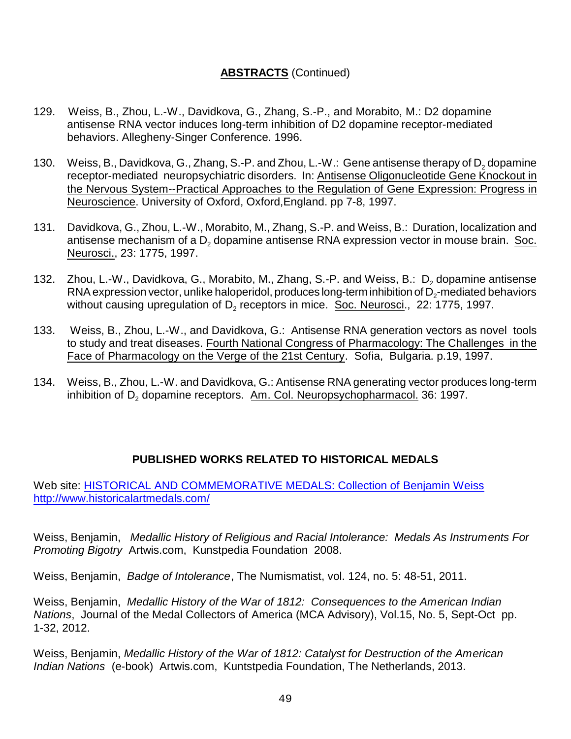- 129. Weiss, B., Zhou, L.-W., Davidkova, G., Zhang, S.-P., and Morabito, M.: D2 dopamine antisense RNA vector induces long-term inhibition of D2 dopamine receptor-mediated behaviors. Allegheny-Singer Conference. 1996.
- 130. Weiss, B., Davidkova, G., Zhang, S.-P. and Zhou, L.-W.: Gene antisense therapy of D<sub>2</sub> dopamine receptor-mediated neuropsychiatric disorders. In: Antisense Oligonucleotide Gene Knockout in the Nervous System--Practical Approaches to the Regulation of Gene Expression: Progress in Neuroscience. University of Oxford, Oxford,England. pp 7-8, 1997.
- 131. Davidkova, G., Zhou, L.-W., Morabito, M., Zhang, S.-P. and Weiss, B.: Duration, localization and antisense mechanism of a  $D<sub>2</sub>$  dopamine antisense RNA expression vector in mouse brain. Soc. Neurosci., 23: 1775, 1997.
- 132. Zhou, L.-W., Davidkova, G., Morabito, M., Zhang, S.-P. and Weiss, B.:  $D_2$  dopamine antisense  $\mathsf{RNA}\xspace$  expression vector, unlike haloperidol, produces long-term inhibition of  $\mathsf{D}_2\text{-}\mathsf{mediated}\xspace$  behaviors without causing upregulation of D<sub>2</sub> receptors in mice. Soc. Neurosci., 22: 1775, 1997.
- 133. Weiss, B., Zhou, L.-W., and Davidkova, G.: Antisense RNA generation vectors as novel tools to study and treat diseases. Fourth National Congress of Pharmacology: The Challenges in the Face of Pharmacology on the Verge of the 21st Century. Sofia, Bulgaria. p.19, 1997.
- 134. Weiss, B., Zhou, L.-W. and Davidkova, G.: Antisense RNA generating vector produces long-term inhibition of D<sub>2</sub> dopamine receptors. Am. Col. Neuropsychopharmacol. 36: 1997.

# **PUBLISHED WORKS RELATED TO HISTORICAL MEDALS**

Web site: [HISTORICAL AND COMMEMORATIVE MEDALS: Collection of Benjamin Weiss](http://www.historicalartmedals.com/) <http://www.historicalartmedals.com/>

Weiss, Benjamin, *Medallic History of Religious and Racial Intolerance: Medals As Instruments For Promoting Bigotry* Artwis.com, Kunstpedia Foundation 2008.

Weiss, Benjamin, *Badge of Intolerance*, The Numismatist, vol. 124, no. 5: 48-51, 2011.

Weiss, Benjamin, *Medallic History of the War of 1812: Consequences to the American Indian Nations*, Journal of the Medal Collectors of America (MCA Advisory), Vol.15, No. 5, Sept-Oct pp. 1-32, 2012.

Weiss, Benjamin, *Medallic History of the War of 1812: Catalyst for Destruction of the American Indian Nations* (e-book) Artwis.com, Kuntstpedia Foundation, The Netherlands, 2013.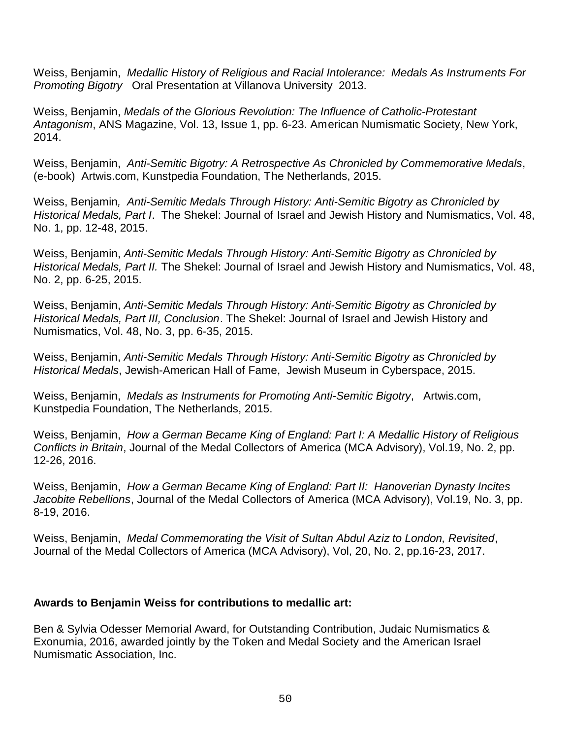Weiss, Benjamin, *Medallic History of Religious and Racial Intolerance: Medals As Instruments For Promoting Bigotry* Oral Presentation at Villanova University 2013.

Weiss, Benjamin, *Medals of the Glorious Revolution: The Influence of Catholic-Protestant Antagonism*, ANS Magazine, Vol. 13, Issue 1, pp. 6-23. American Numismatic Society, New York, 2014.

Weiss, Benjamin, *Anti-Semitic Bigotry: A Retrospective As Chronicled by Commemorative Medals*, (e-book) Artwis.com, Kunstpedia Foundation, The Netherlands, 2015.

Weiss, Benjamin*, Anti-Semitic Medals Through History: Anti-Semitic Bigotry as Chronicled by Historical Medals, Part I*. The Shekel: Journal of Israel and Jewish History and Numismatics, Vol. 48, No. 1, pp. 12-48, 2015.

Weiss, Benjamin, *Anti-Semitic Medals Through History: Anti-Semitic Bigotry as Chronicled by Historical Medals, Part II.* The Shekel: Journal of Israel and Jewish History and Numismatics, Vol. 48, No. 2, pp. 6-25, 2015.

Weiss, Benjamin, *Anti-Semitic Medals Through History: Anti-Semitic Bigotry as Chronicled by Historical Medals, Part III, Conclusion*. The Shekel: Journal of Israel and Jewish History and Numismatics, Vol. 48, No. 3, pp. 6-35, 2015.

Weiss, Benjamin, *Anti-Semitic Medals Through History: Anti-Semitic Bigotry as Chronicled by Historical Medals*, Jewish-American Hall of Fame, Jewish Museum in Cyberspace, 2015.

Weiss, Benjamin, *Medals as Instruments for Promoting Anti-Semitic Bigotry*, Artwis.com, Kunstpedia Foundation, The Netherlands, 2015.

Weiss, Benjamin, *How a German Became King of England: Part I: A Medallic History of Religious Conflicts in Britain*, Journal of the Medal Collectors of America (MCA Advisory), Vol.19, No. 2, pp. 12-26, 2016.

Weiss, Benjamin, *How a German Became King of England: Part II: Hanoverian Dynasty Incites Jacobite Rebellions*, Journal of the Medal Collectors of America (MCA Advisory), Vol.19, No. 3, pp. 8-19, 2016.

Weiss, Benjamin, *Medal Commemorating the Visit of Sultan Abdul Aziz to London, Revisited*, Journal of the Medal Collectors of America (MCA Advisory), Vol, 20, No. 2, pp.16-23, 2017.

## **Awards to Benjamin Weiss for contributions to medallic art:**

Ben & Sylvia Odesser Memorial Award, for Outstanding Contribution, Judaic Numismatics & Exonumia, 2016, awarded jointly by the Token and Medal Society and the American Israel Numismatic Association, Inc.